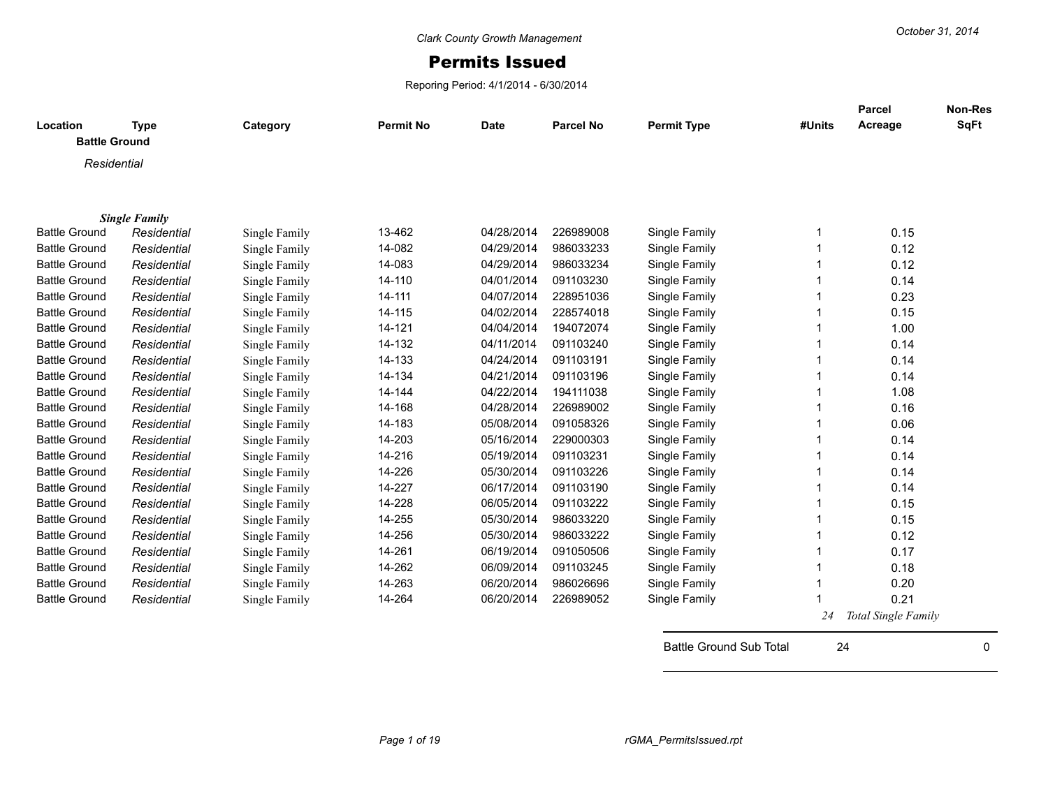## Permits Issued

Reporing Period: 4/1/2014 - 6/30/2014

|                      |                      |               |                  |             |                  |                    |        | <b>Parcel</b>              | <b>Non-Res</b> |
|----------------------|----------------------|---------------|------------------|-------------|------------------|--------------------|--------|----------------------------|----------------|
| Location             | <b>Type</b>          | Category      | <b>Permit No</b> | <b>Date</b> | <b>Parcel No</b> | <b>Permit Type</b> | #Units | Acreage                    | <b>SqFt</b>    |
| <b>Battle Ground</b> |                      |               |                  |             |                  |                    |        |                            |                |
| Residential          |                      |               |                  |             |                  |                    |        |                            |                |
|                      |                      |               |                  |             |                  |                    |        |                            |                |
|                      |                      |               |                  |             |                  |                    |        |                            |                |
|                      | <b>Single Family</b> |               |                  |             |                  |                    |        |                            |                |
| <b>Battle Ground</b> | Residential          | Single Family | 13-462           | 04/28/2014  | 226989008        | Single Family      | -1     | 0.15                       |                |
| <b>Battle Ground</b> | Residential          | Single Family | 14-082           | 04/29/2014  | 986033233        | Single Family      |        | 0.12                       |                |
| <b>Battle Ground</b> | Residential          | Single Family | 14-083           | 04/29/2014  | 986033234        | Single Family      |        | 0.12                       |                |
| <b>Battle Ground</b> | Residential          | Single Family | 14-110           | 04/01/2014  | 091103230        | Single Family      |        | 0.14                       |                |
| <b>Battle Ground</b> | Residential          | Single Family | 14-111           | 04/07/2014  | 228951036        | Single Family      |        | 0.23                       |                |
| <b>Battle Ground</b> | Residential          | Single Family | 14-115           | 04/02/2014  | 228574018        | Single Family      |        | 0.15                       |                |
| <b>Battle Ground</b> | Residential          | Single Family | 14-121           | 04/04/2014  | 194072074        | Single Family      |        | 1.00                       |                |
| <b>Battle Ground</b> | Residential          | Single Family | 14-132           | 04/11/2014  | 091103240        | Single Family      |        | 0.14                       |                |
| <b>Battle Ground</b> | Residential          | Single Family | 14-133           | 04/24/2014  | 091103191        | Single Family      |        | 0.14                       |                |
| <b>Battle Ground</b> | Residential          | Single Family | 14-134           | 04/21/2014  | 091103196        | Single Family      |        | 0.14                       |                |
| <b>Battle Ground</b> | Residential          | Single Family | 14-144           | 04/22/2014  | 194111038        | Single Family      |        | 1.08                       |                |
| <b>Battle Ground</b> | Residential          | Single Family | 14-168           | 04/28/2014  | 226989002        | Single Family      |        | 0.16                       |                |
| <b>Battle Ground</b> | Residential          | Single Family | 14-183           | 05/08/2014  | 091058326        | Single Family      |        | 0.06                       |                |
| <b>Battle Ground</b> | Residential          | Single Family | 14-203           | 05/16/2014  | 229000303        | Single Family      |        | 0.14                       |                |
| <b>Battle Ground</b> | Residential          | Single Family | 14-216           | 05/19/2014  | 091103231        | Single Family      |        | 0.14                       |                |
| <b>Battle Ground</b> | Residential          | Single Family | 14-226           | 05/30/2014  | 091103226        | Single Family      |        | 0.14                       |                |
| <b>Battle Ground</b> | Residential          | Single Family | 14-227           | 06/17/2014  | 091103190        | Single Family      |        | 0.14                       |                |
| <b>Battle Ground</b> | Residential          | Single Family | 14-228           | 06/05/2014  | 091103222        | Single Family      |        | 0.15                       |                |
| <b>Battle Ground</b> | Residential          | Single Family | 14-255           | 05/30/2014  | 986033220        | Single Family      |        | 0.15                       |                |
| <b>Battle Ground</b> | Residential          | Single Family | 14-256           | 05/30/2014  | 986033222        | Single Family      |        | 0.12                       |                |
| <b>Battle Ground</b> | Residential          | Single Family | 14-261           | 06/19/2014  | 091050506        | Single Family      |        | 0.17                       |                |
| <b>Battle Ground</b> | Residential          | Single Family | 14-262           | 06/09/2014  | 091103245        | Single Family      |        | 0.18                       |                |
| <b>Battle Ground</b> | Residential          | Single Family | 14-263           | 06/20/2014  | 986026696        | Single Family      |        | 0.20                       |                |
| <b>Battle Ground</b> | Residential          | Single Family | 14-264           | 06/20/2014  | 226989052        | Single Family      |        | 0.21                       |                |
|                      |                      |               |                  |             |                  |                    | 24     | <b>Total Single Family</b> |                |

Battle Ground Sub Total 24 0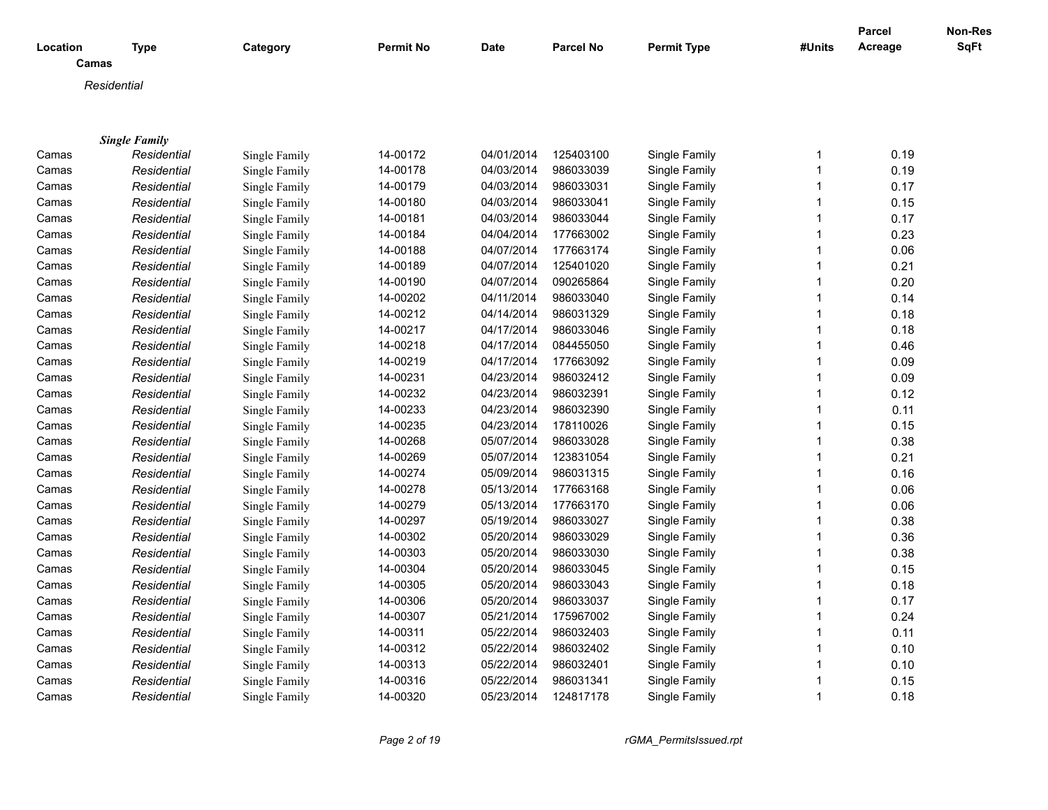|          |                      |               |                  |             |                  |                    |              | <b>Parcel</b> | <b>Non-Res</b> |
|----------|----------------------|---------------|------------------|-------------|------------------|--------------------|--------------|---------------|----------------|
| Location | <b>Type</b>          | Category      | <b>Permit No</b> | <b>Date</b> | <b>Parcel No</b> | <b>Permit Type</b> | #Units       | Acreage       | SqFt           |
|          | Camas                |               |                  |             |                  |                    |              |               |                |
|          | Residential          |               |                  |             |                  |                    |              |               |                |
|          |                      |               |                  |             |                  |                    |              |               |                |
|          |                      |               |                  |             |                  |                    |              |               |                |
|          | <b>Single Family</b> |               |                  |             |                  |                    |              |               |                |
| Camas    | Residential          | Single Family | 14-00172         | 04/01/2014  | 125403100        | Single Family      | 1            | 0.19          |                |
| Camas    | Residential          | Single Family | 14-00178         | 04/03/2014  | 986033039        | Single Family      | 1            | 0.19          |                |
| Camas    | Residential          | Single Family | 14-00179         | 04/03/2014  | 986033031        | Single Family      | 1            | 0.17          |                |
| Camas    | Residential          | Single Family | 14-00180         | 04/03/2014  | 986033041        | Single Family      |              | 0.15          |                |
| Camas    | Residential          | Single Family | 14-00181         | 04/03/2014  | 986033044        | Single Family      | 1            | 0.17          |                |
| Camas    | Residential          | Single Family | 14-00184         | 04/04/2014  | 177663002        | Single Family      |              | 0.23          |                |
| Camas    | Residential          | Single Family | 14-00188         | 04/07/2014  | 177663174        | Single Family      |              | 0.06          |                |
| Camas    | Residential          | Single Family | 14-00189         | 04/07/2014  | 125401020        | Single Family      |              | 0.21          |                |
| Camas    | Residential          | Single Family | 14-00190         | 04/07/2014  | 090265864        | Single Family      | 1            | 0.20          |                |
| Camas    | Residential          | Single Family | 14-00202         | 04/11/2014  | 986033040        | Single Family      |              | 0.14          |                |
| Camas    | Residential          | Single Family | 14-00212         | 04/14/2014  | 986031329        | Single Family      |              | 0.18          |                |
| Camas    | Residential          | Single Family | 14-00217         | 04/17/2014  | 986033046        | Single Family      |              | 0.18          |                |
| Camas    | Residential          | Single Family | 14-00218         | 04/17/2014  | 084455050        | Single Family      |              | 0.46          |                |
| Camas    | Residential          | Single Family | 14-00219         | 04/17/2014  | 177663092        | Single Family      |              | 0.09          |                |
| Camas    | Residential          | Single Family | 14-00231         | 04/23/2014  | 986032412        | Single Family      |              | 0.09          |                |
| Camas    | Residential          | Single Family | 14-00232         | 04/23/2014  | 986032391        | Single Family      | 1            | 0.12          |                |
| Camas    | Residential          | Single Family | 14-00233         | 04/23/2014  | 986032390        | Single Family      | 1            | 0.11          |                |
| Camas    | Residential          | Single Family | 14-00235         | 04/23/2014  | 178110026        | Single Family      | 1            | 0.15          |                |
| Camas    | Residential          | Single Family | 14-00268         | 05/07/2014  | 986033028        | Single Family      | 1            | 0.38          |                |
| Camas    | Residential          | Single Family | 14-00269         | 05/07/2014  | 123831054        | Single Family      | 1            | 0.21          |                |
| Camas    | Residential          | Single Family | 14-00274         | 05/09/2014  | 986031315        | Single Family      | 1            | 0.16          |                |
| Camas    | Residential          | Single Family | 14-00278         | 05/13/2014  | 177663168        | Single Family      | 1            | 0.06          |                |
| Camas    | Residential          | Single Family | 14-00279         | 05/13/2014  | 177663170        | Single Family      |              | 0.06          |                |
| Camas    | Residential          | Single Family | 14-00297         | 05/19/2014  | 986033027        | Single Family      | 1            | 0.38          |                |
| Camas    | Residential          | Single Family | 14-00302         | 05/20/2014  | 986033029        | Single Family      | 1            | 0.36          |                |
| Camas    | Residential          | Single Family | 14-00303         | 05/20/2014  | 986033030        | Single Family      | 1            | 0.38          |                |
| Camas    | Residential          | Single Family | 14-00304         | 05/20/2014  | 986033045        | Single Family      |              | 0.15          |                |
| Camas    | Residential          | Single Family | 14-00305         | 05/20/2014  | 986033043        | Single Family      | 1            | 0.18          |                |
| Camas    | Residential          | Single Family | 14-00306         | 05/20/2014  | 986033037        | Single Family      | 1            | 0.17          |                |
| Camas    | Residential          | Single Family | 14-00307         | 05/21/2014  | 175967002        | Single Family      | 1            | 0.24          |                |
| Camas    | Residential          | Single Family | 14-00311         | 05/22/2014  | 986032403        | Single Family      |              | 0.11          |                |
| Camas    | Residential          | Single Family | 14-00312         | 05/22/2014  | 986032402        | Single Family      | 1            | 0.10          |                |
| Camas    | Residential          | Single Family | 14-00313         | 05/22/2014  | 986032401        | Single Family      |              | 0.10          |                |
| Camas    | Residential          | Single Family | 14-00316         | 05/22/2014  | 986031341        | Single Family      | 1            | 0.15          |                |
| Camas    | Residential          | Single Family | 14-00320         | 05/23/2014  | 124817178        | Single Family      | $\mathbf{1}$ | 0.18          |                |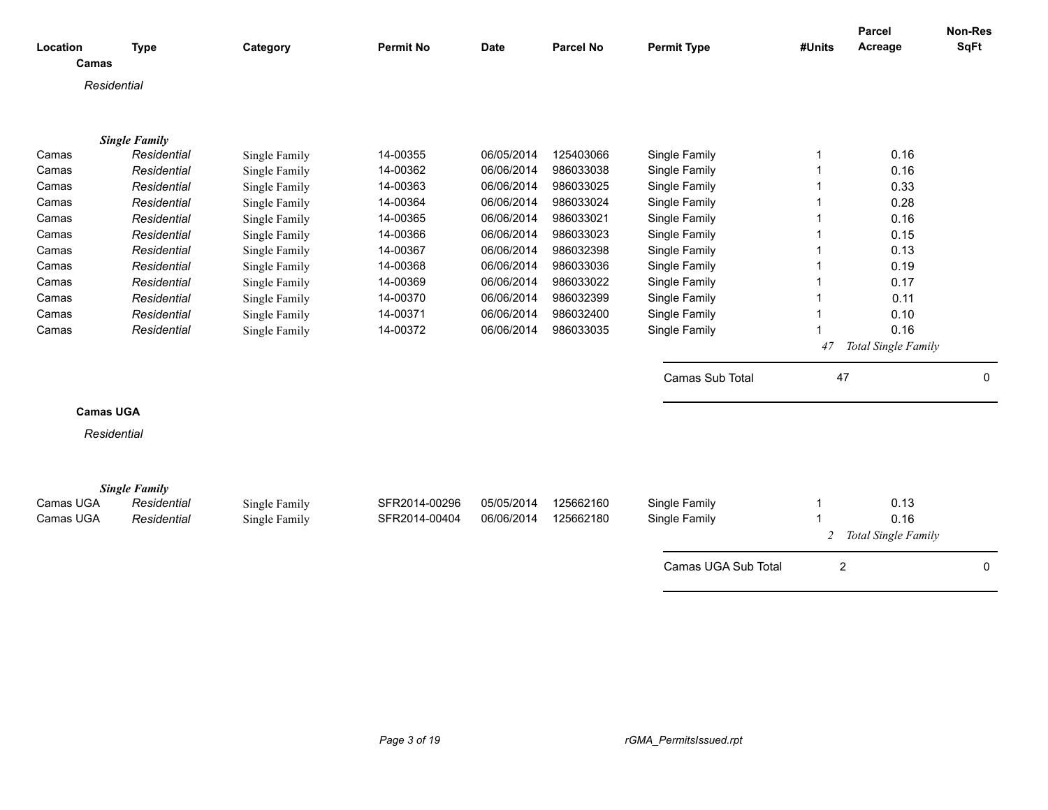| Location<br>Camas | <b>Type</b>          | Category      | <b>Permit No</b> | <b>Date</b> | <b>Parcel No</b> | <b>Permit Type</b>  | #Units                  | Parcel<br>Acreage           | Non-Res<br><b>SqFt</b> |
|-------------------|----------------------|---------------|------------------|-------------|------------------|---------------------|-------------------------|-----------------------------|------------------------|
| Residential       |                      |               |                  |             |                  |                     |                         |                             |                        |
|                   |                      |               |                  |             |                  |                     |                         |                             |                        |
|                   | <b>Single Family</b> |               |                  |             |                  |                     |                         |                             |                        |
| Camas             | Residential          | Single Family | 14-00355         | 06/05/2014  | 125403066        | Single Family       | 1                       | 0.16                        |                        |
| Camas             | Residential          | Single Family | 14-00362         | 06/06/2014  | 986033038        | Single Family       |                         | 0.16                        |                        |
| Camas             | Residential          | Single Family | 14-00363         | 06/06/2014  | 986033025        | Single Family       |                         | 0.33                        |                        |
| Camas             | Residential          | Single Family | 14-00364         | 06/06/2014  | 986033024        | Single Family       | 1                       | 0.28                        |                        |
| Camas             | Residential          | Single Family | 14-00365         | 06/06/2014  | 986033021        | Single Family       |                         | 0.16                        |                        |
| Camas             | Residential          | Single Family | 14-00366         | 06/06/2014  | 986033023        | Single Family       |                         | 0.15                        |                        |
| Camas             | Residential          | Single Family | 14-00367         | 06/06/2014  | 986032398        | Single Family       |                         | 0.13                        |                        |
| Camas             | Residential          | Single Family | 14-00368         | 06/06/2014  | 986033036        | Single Family       |                         | 0.19                        |                        |
| Camas             | Residential          | Single Family | 14-00369         | 06/06/2014  | 986033022        | Single Family       |                         | 0.17                        |                        |
| Camas             | Residential          | Single Family | 14-00370         | 06/06/2014  | 986032399        | Single Family       |                         | 0.11                        |                        |
| Camas             | Residential          | Single Family | 14-00371         | 06/06/2014  | 986032400        | Single Family       |                         | 0.10                        |                        |
| Camas             | Residential          | Single Family | 14-00372         | 06/06/2014  | 986033035        | Single Family       |                         | 0.16                        |                        |
|                   |                      |               |                  |             |                  |                     | 47                      | Total Single Family         |                        |
|                   |                      |               |                  |             |                  | Camas Sub Total     | 47                      |                             | 0                      |
| <b>Camas UGA</b>  |                      |               |                  |             |                  |                     |                         |                             |                        |
| Residential       |                      |               |                  |             |                  |                     |                         |                             |                        |
|                   |                      |               |                  |             |                  |                     |                         |                             |                        |
|                   | <b>Single Family</b> |               |                  |             |                  |                     |                         |                             |                        |
| Camas UGA         | Residential          | Single Family | SFR2014-00296    | 05/05/2014  | 125662160        | Single Family       | $\mathbf 1$             | 0.13                        |                        |
| Camas UGA         | Residential          | Single Family | SFR2014-00404    | 06/06/2014  | 125662180        | Single Family       | 2                       | 0.16<br>Total Single Family |                        |
|                   |                      |               |                  |             |                  | Camas UGA Sub Total | $\overline{\mathbf{c}}$ |                             | $\mathbf 0$            |
|                   |                      |               |                  |             |                  |                     |                         |                             |                        |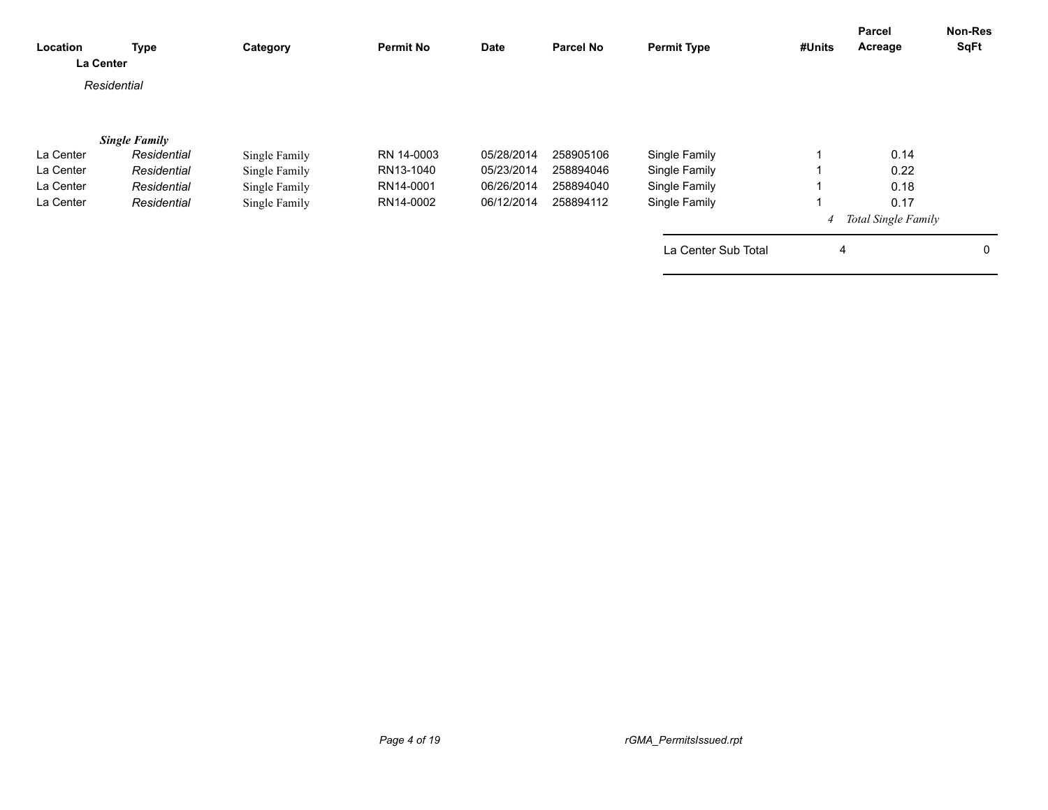| Location<br>La Center | <b>Type</b>          | Category      | <b>Permit No</b> | <b>Date</b> | <b>Parcel No</b> | <b>Permit Type</b>  | #Units | Parcel<br>Acreage          | Non-Res<br><b>SqFt</b> |
|-----------------------|----------------------|---------------|------------------|-------------|------------------|---------------------|--------|----------------------------|------------------------|
|                       | Residential          |               |                  |             |                  |                     |        |                            |                        |
|                       | <b>Single Family</b> |               |                  |             |                  |                     |        |                            |                        |
| La Center             | Residential          | Single Family | RN 14-0003       | 05/28/2014  | 258905106        | Single Family       |        | 0.14                       |                        |
| La Center             | Residential          | Single Family | RN13-1040        | 05/23/2014  | 258894046        | Single Family       |        | 0.22                       |                        |
| La Center             | Residential          | Single Family | RN14-0001        | 06/26/2014  | 258894040        | Single Family       |        | 0.18                       |                        |
| La Center             | Residential          | Single Family | RN14-0002        | 06/12/2014  | 258894112        | Single Family       |        | 0.17                       |                        |
|                       |                      |               |                  |             |                  |                     | 4      | <b>Total Single Family</b> |                        |
|                       |                      |               |                  |             |                  | La Center Sub Total | 4      |                            | 0                      |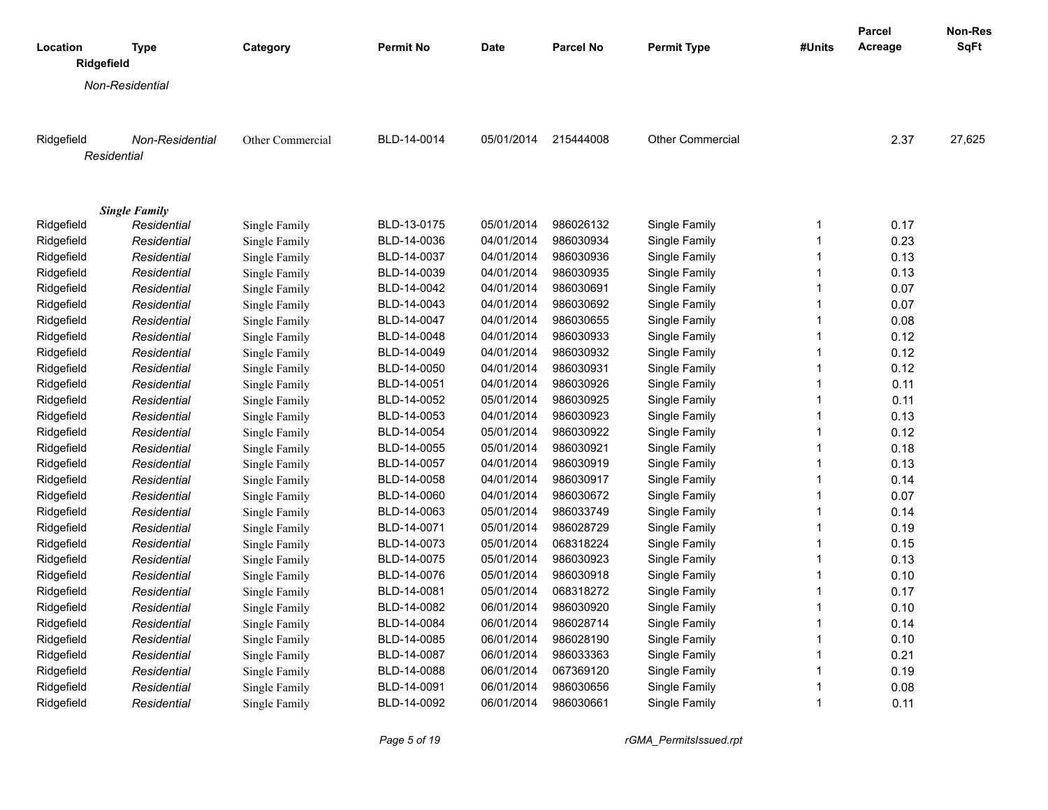|                        |                        |                  |                  |             |                  |                         |              | Parcel  | Non-Res     |
|------------------------|------------------------|------------------|------------------|-------------|------------------|-------------------------|--------------|---------|-------------|
| Location<br>Ridgefield | Type                   | Category         | <b>Permit No</b> | <b>Date</b> | <b>Parcel No</b> | <b>Permit Type</b>      | #Units       | Acreage | <b>SqFt</b> |
|                        | Non-Residential        |                  |                  |             |                  |                         |              |         |             |
|                        | <b>Non-Residential</b> | Other Commercial | BLD-14-0014      | 05/01/2014  | 215444008        | <b>Other Commercial</b> |              | 2.37    | 27,625      |
| Ridgefield             | Residential            |                  |                  |             |                  |                         |              |         |             |
|                        |                        |                  |                  |             |                  |                         |              |         |             |
|                        | <b>Single Family</b>   |                  |                  |             |                  |                         |              |         |             |
| Ridgefield             | Residential            | Single Family    | BLD-13-0175      | 05/01/2014  | 986026132        | Single Family           | 1            | 0.17    |             |
| Ridgefield             | Residential            | Single Family    | BLD-14-0036      | 04/01/2014  | 986030934        | Single Family           | $\mathbf{1}$ | 0.23    |             |
| Ridgefield             | Residential            | Single Family    | BLD-14-0037      | 04/01/2014  | 986030936        | Single Family           | $\mathbf{1}$ | 0.13    |             |
| Ridgefield             | Residential            | Single Family    | BLD-14-0039      | 04/01/2014  | 986030935        | Single Family           | $\mathbf{1}$ | 0.13    |             |
| Ridgefield             | Residential            | Single Family    | BLD-14-0042      | 04/01/2014  | 986030691        | Single Family           | $\mathbf{1}$ | 0.07    |             |
| Ridgefield             | Residential            | Single Family    | BLD-14-0043      | 04/01/2014  | 986030692        | Single Family           | $\mathbf{1}$ | 0.07    |             |
| Ridgefield             | Residential            | Single Family    | BLD-14-0047      | 04/01/2014  | 986030655        | Single Family           | $\mathbf{1}$ | 0.08    |             |
| Ridgefield             | Residential            | Single Family    | BLD-14-0048      | 04/01/2014  | 986030933        | Single Family           | $\mathbf{1}$ | 0.12    |             |
| Ridgefield             | Residential            | Single Family    | BLD-14-0049      | 04/01/2014  | 986030932        | Single Family           | $\mathbf{1}$ | 0.12    |             |
| Ridgefield             | Residential            | Single Family    | BLD-14-0050      | 04/01/2014  | 986030931        | Single Family           | $\mathbf{1}$ | 0.12    |             |
| Ridgefield             | Residential            | Single Family    | BLD-14-0051      | 04/01/2014  | 986030926        | Single Family           | $\mathbf{1}$ | 0.11    |             |
| Ridgefield             | Residential            | Single Family    | BLD-14-0052      | 05/01/2014  | 986030925        | Single Family           | $\mathbf{1}$ | 0.11    |             |
| Ridgefield             | Residential            | Single Family    | BLD-14-0053      | 04/01/2014  | 986030923        | Single Family           | $\mathbf{1}$ | 0.13    |             |
| Ridgefield             | Residential            | Single Family    | BLD-14-0054      | 05/01/2014  | 986030922        | Single Family           | $\mathbf{1}$ | 0.12    |             |
| Ridgefield             | Residential            | Single Family    | BLD-14-0055      | 05/01/2014  | 986030921        | Single Family           | $\mathbf{1}$ | 0.18    |             |
| Ridgefield             | Residential            | Single Family    | BLD-14-0057      | 04/01/2014  | 986030919        | Single Family           | $\mathbf{1}$ | 0.13    |             |
| Ridgefield             | Residential            | Single Family    | BLD-14-0058      | 04/01/2014  | 986030917        | Single Family           | $\mathbf{1}$ | 0.14    |             |
| Ridgefield             | Residential            | Single Family    | BLD-14-0060      | 04/01/2014  | 986030672        | Single Family           | $\mathbf{1}$ | 0.07    |             |
| Ridgefield             | Residential            | Single Family    | BLD-14-0063      | 05/01/2014  | 986033749        | Single Family           | $\mathbf{1}$ | 0.14    |             |
| Ridgefield             | Residential            | Single Family    | BLD-14-0071      | 05/01/2014  | 986028729        | Single Family           | $\mathbf{1}$ | 0.19    |             |
| Ridgefield             | Residential            | Single Family    | BLD-14-0073      | 05/01/2014  | 068318224        | Single Family           | 1            | 0.15    |             |
| Ridgefield             | Residential            | Single Family    | BLD-14-0075      | 05/01/2014  | 986030923        | Single Family           | $\mathbf{1}$ | 0.13    |             |
| Ridgefield             | Residential            | Single Family    | BLD-14-0076      | 05/01/2014  | 986030918        | Single Family           | $\mathbf{1}$ | 0.10    |             |
| Ridgefield             | Residential            | Single Family    | BLD-14-0081      | 05/01/2014  | 068318272        | Single Family           | $\mathbf{1}$ | 0.17    |             |
| Ridgefield             | Residential            | Single Family    | BLD-14-0082      | 06/01/2014  | 986030920        | Single Family           | $\mathbf{1}$ | 0.10    |             |
| Ridgefield             | Residential            | Single Family    | BLD-14-0084      | 06/01/2014  | 986028714        | Single Family           | $\mathbf{1}$ | 0.14    |             |
| Ridgefield             | Residential            | Single Family    | BLD-14-0085      | 06/01/2014  | 986028190        | Single Family           | $\mathbf{1}$ | 0.10    |             |
| Ridgefield             | Residential            | Single Family    | BLD-14-0087      | 06/01/2014  | 986033363        | Single Family           | $\mathbf{1}$ | 0.21    |             |
| Ridgefield             | Residential            | Single Family    | BLD-14-0088      | 06/01/2014  | 067369120        | Single Family           | $\mathbf{1}$ | 0.19    |             |
| Ridgefield             | Residential            | Single Family    | BLD-14-0091      | 06/01/2014  | 986030656        | Single Family           | 1            | 0.08    |             |
| Ridgefield             | Residential            | Single Family    | BLD-14-0092      | 06/01/2014  | 986030661        | Single Family           | $\mathbf{1}$ | 0.11    |             |

*Page 5 of 19 rGMA\_PermitsIssued.rpt*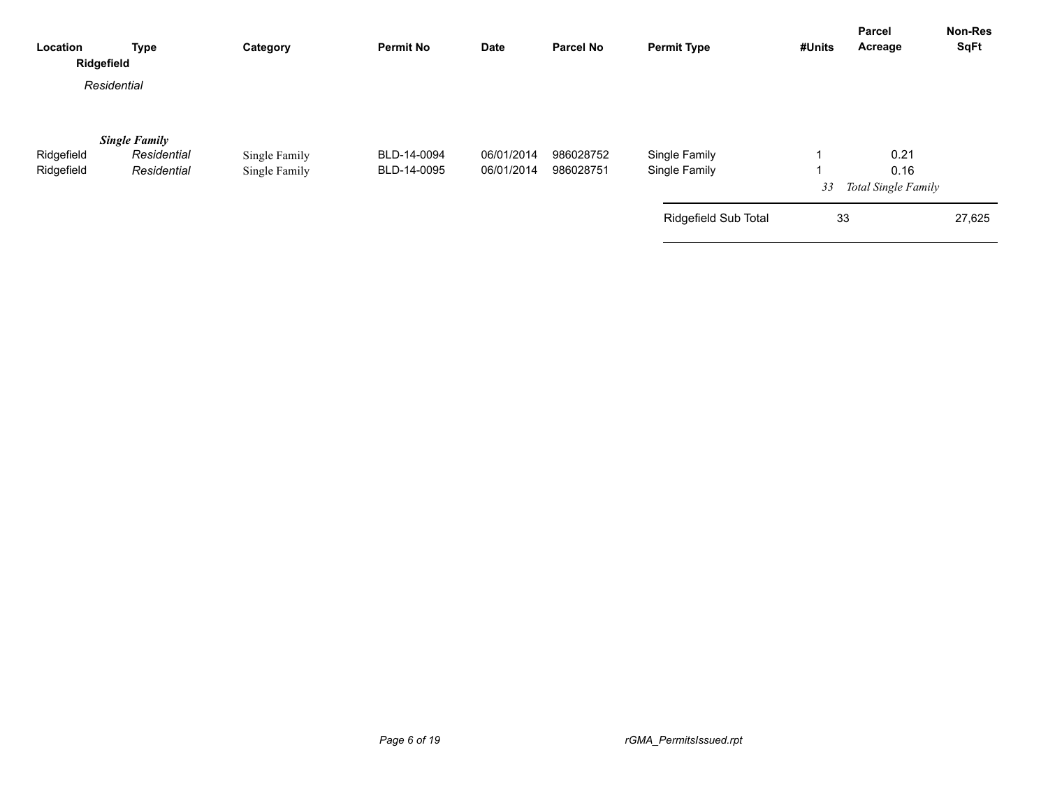| Location<br>Ridgefield   | <b>Type</b>                                        | Category                       | <b>Permit No</b>           | <b>Date</b>              | <b>Parcel No</b>       | <b>Permit Type</b>             | #Units | Parcel<br>Acreage                   | <b>Non-Res</b><br><b>SqFt</b> |
|--------------------------|----------------------------------------------------|--------------------------------|----------------------------|--------------------------|------------------------|--------------------------------|--------|-------------------------------------|-------------------------------|
|                          | Residential                                        |                                |                            |                          |                        |                                |        |                                     |                               |
| Ridgefield<br>Ridgefield | <b>Single Family</b><br>Residential<br>Residential | Single Family<br>Single Family | BLD-14-0094<br>BLD-14-0095 | 06/01/2014<br>06/01/2014 | 986028752<br>986028751 | Single Family<br>Single Family | 33     | 0.21<br>0.16<br>Total Single Family |                               |
|                          |                                                    |                                |                            |                          |                        | Ridgefield Sub Total           | 33     |                                     | 27,625                        |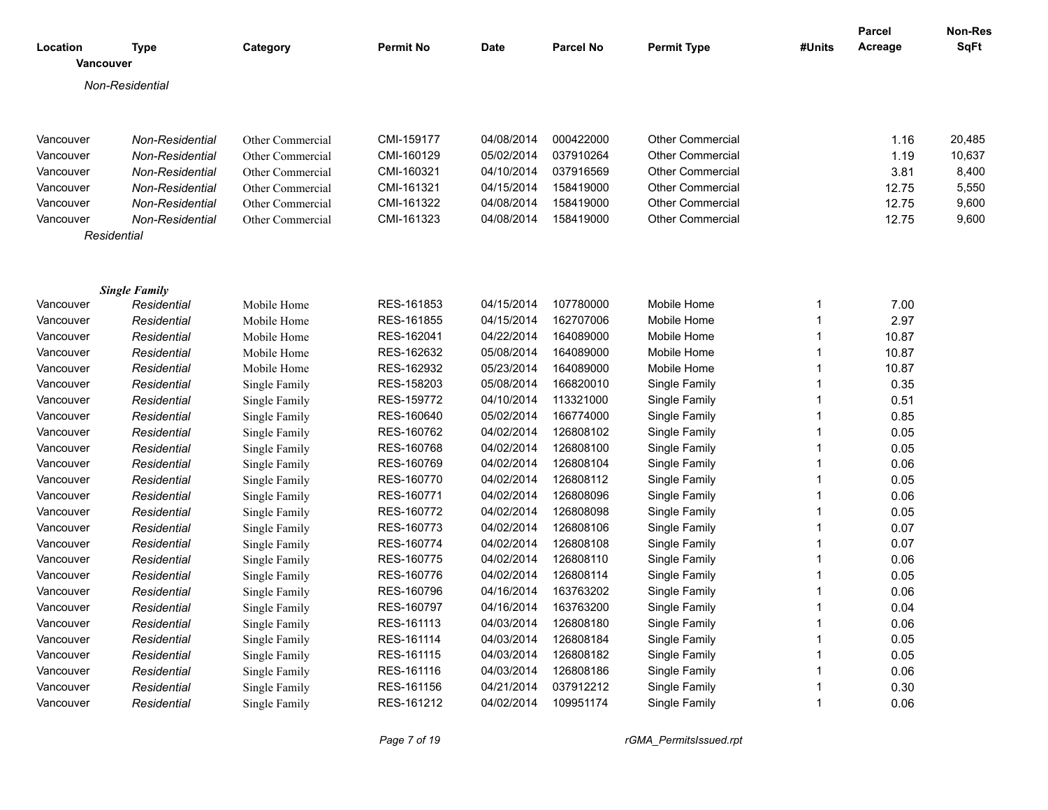|                              |                        |                         |                  |             |                  |                         |                | Parcel  | <b>Non-Res</b> |
|------------------------------|------------------------|-------------------------|------------------|-------------|------------------|-------------------------|----------------|---------|----------------|
| Location<br><b>Vancouver</b> | <b>Type</b>            | Category                | <b>Permit No</b> | <b>Date</b> | <b>Parcel No</b> | <b>Permit Type</b>      | #Units         | Acreage | SqFt           |
|                              | Non-Residential        |                         |                  |             |                  |                         |                |         |                |
|                              |                        |                         |                  |             |                  |                         |                |         |                |
|                              |                        |                         |                  |             |                  |                         |                |         |                |
| Vancouver                    | Non-Residential        | Other Commercial        | CMI-159177       | 04/08/2014  | 000422000        | <b>Other Commercial</b> |                | 1.16    | 20,485         |
| Vancouver                    | Non-Residential        | Other Commercial        | CMI-160129       | 05/02/2014  | 037910264        | <b>Other Commercial</b> |                | 1.19    | 10,637         |
| Vancouver                    | Non-Residential        | Other Commercial        | CMI-160321       | 04/10/2014  | 037916569        | <b>Other Commercial</b> |                | 3.81    | 8,400          |
| Vancouver                    | <b>Non-Residential</b> | <b>Other Commercial</b> | CMI-161321       | 04/15/2014  | 158419000        | <b>Other Commercial</b> |                | 12.75   | 5,550          |
| Vancouver                    | Non-Residential        | Other Commercial        | CMI-161322       | 04/08/2014  | 158419000        | <b>Other Commercial</b> |                | 12.75   | 9,600          |
| Vancouver                    | Non-Residential        | <b>Other Commercial</b> | CMI-161323       | 04/08/2014  | 158419000        | <b>Other Commercial</b> |                | 12.75   | 9,600          |
|                              | Residential            |                         |                  |             |                  |                         |                |         |                |
|                              |                        |                         |                  |             |                  |                         |                |         |                |
|                              |                        |                         |                  |             |                  |                         |                |         |                |
|                              | <b>Single Family</b>   |                         |                  |             |                  |                         |                |         |                |
| Vancouver                    | Residential            | Mobile Home             | RES-161853       | 04/15/2014  | 107780000        | Mobile Home             | $\mathbf 1$    | 7.00    |                |
| Vancouver                    | Residential            | Mobile Home             | RES-161855       | 04/15/2014  | 162707006        | Mobile Home             | $\mathbf{1}$   | 2.97    |                |
| Vancouver                    | Residential            | Mobile Home             | RES-162041       | 04/22/2014  | 164089000        | Mobile Home             | $\mathbf{1}$   | 10.87   |                |
| Vancouver                    | Residential            | Mobile Home             | RES-162632       | 05/08/2014  | 164089000        | Mobile Home             | $\overline{1}$ | 10.87   |                |
| Vancouver                    | Residential            | Mobile Home             | RES-162932       | 05/23/2014  | 164089000        | Mobile Home             | $\overline{1}$ | 10.87   |                |
| Vancouver                    | Residential            | Single Family           | RES-158203       | 05/08/2014  | 166820010        | Single Family           | $\overline{1}$ | 0.35    |                |
| Vancouver                    | Residential            | Single Family           | RES-159772       | 04/10/2014  | 113321000        | Single Family           | $\mathbf{1}$   | 0.51    |                |
| Vancouver                    | Residential            | Single Family           | RES-160640       | 05/02/2014  | 166774000        | Single Family           | $\mathbf{1}$   | 0.85    |                |
| Vancouver                    | Residential            | Single Family           | RES-160762       | 04/02/2014  | 126808102        | Single Family           | $\mathbf{1}$   | 0.05    |                |
| Vancouver                    | Residential            | Single Family           | RES-160768       | 04/02/2014  | 126808100        | Single Family           | $\mathbf{1}$   | 0.05    |                |
| Vancouver                    | Residential            | Single Family           | RES-160769       | 04/02/2014  | 126808104        | Single Family           | $\mathbf{1}$   | 0.06    |                |
| Vancouver                    | Residential            | Single Family           | RES-160770       | 04/02/2014  | 126808112        | Single Family           | $\mathbf{1}$   | 0.05    |                |
| Vancouver                    | Residential            | Single Family           | RES-160771       | 04/02/2014  | 126808096        | Single Family           | $\mathbf{1}$   | 0.06    |                |
| Vancouver                    | Residential            | Single Family           | RES-160772       | 04/02/2014  | 126808098        | Single Family           | $\mathbf{1}$   | 0.05    |                |
| Vancouver                    | Residential            | Single Family           | RES-160773       | 04/02/2014  | 126808106        | Single Family           | $\mathbf{1}$   | 0.07    |                |
| Vancouver                    | Residential            | Single Family           | RES-160774       | 04/02/2014  | 126808108        | Single Family           | $\mathbf{1}$   | 0.07    |                |
| Vancouver                    | Residential            | Single Family           | RES-160775       | 04/02/2014  | 126808110        | Single Family           | $\mathbf{1}$   | 0.06    |                |
| Vancouver                    | Residential            | Single Family           | RES-160776       | 04/02/2014  | 126808114        | Single Family           | $\mathbf{1}$   | 0.05    |                |
| Vancouver                    | Residential            | Single Family           | RES-160796       | 04/16/2014  | 163763202        | Single Family           | $\mathbf{1}$   | 0.06    |                |
| Vancouver                    | Residential            | Single Family           | RES-160797       | 04/16/2014  | 163763200        | Single Family           | $\mathbf{1}$   | 0.04    |                |
| Vancouver                    | Residential            | Single Family           | RES-161113       | 04/03/2014  | 126808180        | Single Family           | $\mathbf{1}$   | 0.06    |                |
| Vancouver                    | Residential            | Single Family           | RES-161114       | 04/03/2014  | 126808184        | Single Family           | $\mathbf{1}$   | 0.05    |                |
| Vancouver                    | Residential            | Single Family           | RES-161115       | 04/03/2014  | 126808182        | Single Family           | $\mathbf{1}$   | 0.05    |                |
| Vancouver                    | Residential            | Single Family           | RES-161116       | 04/03/2014  | 126808186        | Single Family           | $\mathbf{1}$   | 0.06    |                |
| Vancouver                    | Residential            | Single Family           | RES-161156       | 04/21/2014  | 037912212        | Single Family           | $\mathbf 1$    | 0.30    |                |
| Vancouver                    | Residential            | Single Family           | RES-161212       | 04/02/2014  | 109951174        | Single Family           | $\mathbf{1}$   | 0.06    |                |
|                              |                        |                         |                  |             |                  |                         |                |         |                |

*Page 7 of 19 rGMA\_PermitsIssued.rpt*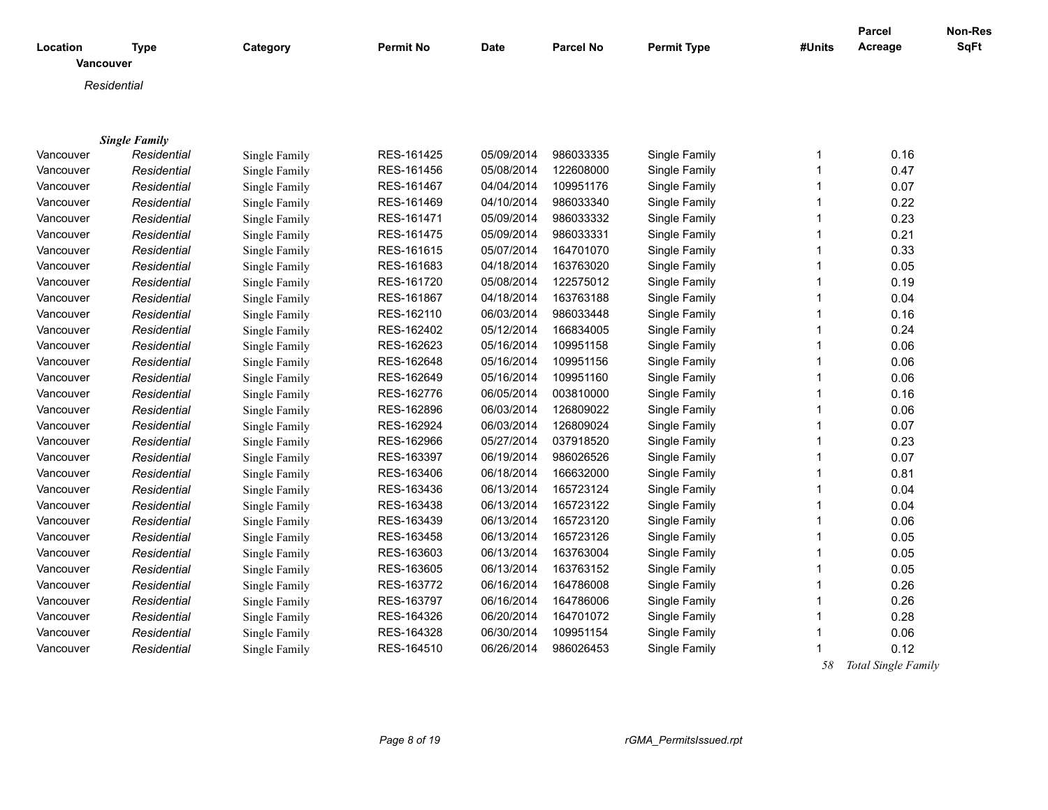| Location         | <b>Type</b>          | Category      | <b>Permit No</b> | <b>Date</b> | <b>Parcel No</b> | <b>Permit Type</b> | #Units       | Parcel<br>Acreage | Non-Res<br>SqFt |
|------------------|----------------------|---------------|------------------|-------------|------------------|--------------------|--------------|-------------------|-----------------|
| <b>Vancouver</b> |                      |               |                  |             |                  |                    |              |                   |                 |
|                  | Residential          |               |                  |             |                  |                    |              |                   |                 |
|                  |                      |               |                  |             |                  |                    |              |                   |                 |
|                  |                      |               |                  |             |                  |                    |              |                   |                 |
|                  | <b>Single Family</b> |               |                  |             |                  |                    |              |                   |                 |
| Vancouver        | Residential          | Single Family | RES-161425       | 05/09/2014  | 986033335        | Single Family      | $\mathbf{1}$ | 0.16              |                 |
| Vancouver        | Residential          | Single Family | RES-161456       | 05/08/2014  | 122608000        | Single Family      | $\mathbf{1}$ | 0.47              |                 |
| Vancouver        | Residential          | Single Family | RES-161467       | 04/04/2014  | 109951176        | Single Family      | $\mathbf{1}$ | 0.07              |                 |
| Vancouver        | Residential          | Single Family | RES-161469       | 04/10/2014  | 986033340        | Single Family      | 1            | 0.22              |                 |
| Vancouver        | Residential          | Single Family | RES-161471       | 05/09/2014  | 986033332        | Single Family      | 1            | 0.23              |                 |
| Vancouver        | Residential          | Single Family | RES-161475       | 05/09/2014  | 986033331        | Single Family      | 1            | 0.21              |                 |
| Vancouver        | Residential          | Single Family | RES-161615       | 05/07/2014  | 164701070        | Single Family      | 1            | 0.33              |                 |
| Vancouver        | Residential          | Single Family | RES-161683       | 04/18/2014  | 163763020        | Single Family      | 1            | 0.05              |                 |
| Vancouver        | Residential          | Single Family | RES-161720       | 05/08/2014  | 122575012        | Single Family      | 1            | 0.19              |                 |
| Vancouver        | Residential          | Single Family | RES-161867       | 04/18/2014  | 163763188        | Single Family      | 1            | 0.04              |                 |
| Vancouver        | Residential          | Single Family | RES-162110       | 06/03/2014  | 986033448        | Single Family      | $\mathbf 1$  | 0.16              |                 |
| Vancouver        | Residential          | Single Family | RES-162402       | 05/12/2014  | 166834005        | Single Family      | $\mathbf{1}$ | 0.24              |                 |
| Vancouver        | Residential          | Single Family | RES-162623       | 05/16/2014  | 109951158        | Single Family      | $\mathbf 1$  | 0.06              |                 |
| Vancouver        | Residential          | Single Family | RES-162648       | 05/16/2014  | 109951156        | Single Family      | 1            | 0.06              |                 |
| Vancouver        | Residential          | Single Family | RES-162649       | 05/16/2014  | 109951160        | Single Family      | 1            | 0.06              |                 |
| Vancouver        | Residential          | Single Family | RES-162776       | 06/05/2014  | 003810000        | Single Family      | 1            | 0.16              |                 |
| Vancouver        | Residential          | Single Family | RES-162896       | 06/03/2014  | 126809022        | Single Family      | 1            | 0.06              |                 |
| Vancouver        | Residential          | Single Family | RES-162924       | 06/03/2014  | 126809024        | Single Family      | 1            | 0.07              |                 |
| Vancouver        | Residential          | Single Family | RES-162966       | 05/27/2014  | 037918520        | Single Family      | 1            | 0.23              |                 |
| Vancouver        | Residential          | Single Family | RES-163397       | 06/19/2014  | 986026526        | Single Family      | $\mathbf 1$  | 0.07              |                 |
| Vancouver        | Residential          | Single Family | RES-163406       | 06/18/2014  | 166632000        | Single Family      | $\mathbf 1$  | 0.81              |                 |
| Vancouver        | Residential          | Single Family | RES-163436       | 06/13/2014  | 165723124        | Single Family      | 1            | 0.04              |                 |
| Vancouver        | Residential          | Single Family | RES-163438       | 06/13/2014  | 165723122        | Single Family      | 1            | 0.04              |                 |
| Vancouver        | Residential          | Single Family | RES-163439       | 06/13/2014  | 165723120        | Single Family      | 1            | 0.06              |                 |
| Vancouver        | Residential          | Single Family | RES-163458       | 06/13/2014  | 165723126        | Single Family      | 1            | 0.05              |                 |
| Vancouver        | Residential          | Single Family | RES-163603       | 06/13/2014  | 163763004        | Single Family      | 1            | 0.05              |                 |
| Vancouver        | Residential          | Single Family | RES-163605       | 06/13/2014  | 163763152        | Single Family      | 1            | 0.05              |                 |
| Vancouver        | Residential          | Single Family | RES-163772       | 06/16/2014  | 164786008        | Single Family      | 1            | 0.26              |                 |
| Vancouver        | Residential          | Single Family | RES-163797       | 06/16/2014  | 164786006        | Single Family      | $\mathbf 1$  | 0.26              |                 |
| Vancouver        | Residential          | Single Family | RES-164326       | 06/20/2014  | 164701072        | Single Family      | 1            | 0.28              |                 |
| Vancouver        | Residential          | Single Family | RES-164328       | 06/30/2014  | 109951154        | Single Family      | $\mathbf 1$  | 0.06              |                 |
| Vancouver        | Residential          | Single Family | RES-164510       | 06/26/2014  | 986026453        | Single Family      | 1            | 0.12              |                 |
|                  |                      |               |                  |             |                  |                    |              |                   |                 |

 *58 Total Single Family*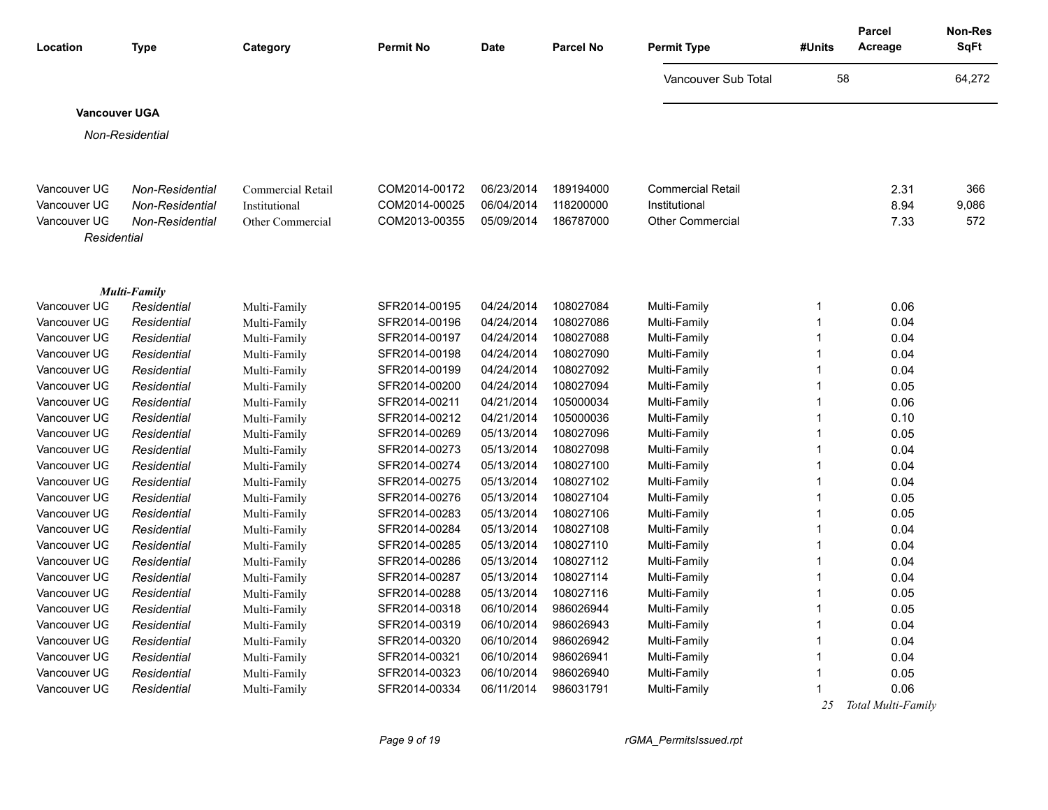| Location                     | <b>Type</b>                | Category                     | <b>Permit No</b>               | <b>Date</b>              | <b>Parcel No</b>       | <b>Permit Type</b>           | #Units      | <b>Parcel</b><br>Acreage | Non-Res<br><b>SqFt</b> |
|------------------------------|----------------------------|------------------------------|--------------------------------|--------------------------|------------------------|------------------------------|-------------|--------------------------|------------------------|
|                              |                            |                              |                                |                          |                        | Vancouver Sub Total          | 58          |                          | 64,272                 |
| <b>Vancouver UGA</b>         |                            |                              |                                |                          |                        |                              |             |                          |                        |
|                              | Non-Residential            |                              |                                |                          |                        |                              |             |                          |                        |
|                              |                            |                              |                                |                          |                        |                              |             |                          |                        |
|                              |                            |                              |                                |                          |                        |                              |             |                          |                        |
| Vancouver UG                 | Non-Residential            | Commercial Retail            | COM2014-00172                  | 06/23/2014               | 189194000              | <b>Commercial Retail</b>     |             | 2.31                     | 366                    |
| Vancouver UG                 | Non-Residential            | Institutional                | COM2014-00025                  | 06/04/2014               | 118200000              | Institutional                |             | 8.94                     | 9,086                  |
| Vancouver UG                 | Non-Residential            | Other Commercial             | COM2013-00355                  | 05/09/2014               | 186787000              | <b>Other Commercial</b>      |             | 7.33                     | 572                    |
| Residential                  |                            |                              |                                |                          |                        |                              |             |                          |                        |
|                              |                            |                              |                                |                          |                        |                              |             |                          |                        |
|                              |                            |                              |                                |                          |                        |                              |             |                          |                        |
|                              | Multi-Family               |                              |                                |                          |                        |                              |             |                          |                        |
| Vancouver UG                 | Residential                | Multi-Family                 | SFR2014-00195                  | 04/24/2014               | 108027084              | Multi-Family                 | -1          | 0.06                     |                        |
| Vancouver UG                 | Residential                | Multi-Family                 | SFR2014-00196                  | 04/24/2014               | 108027086              | Multi-Family                 |             | 0.04                     |                        |
| Vancouver UG                 | Residential                | Multi-Family                 | SFR2014-00197                  | 04/24/2014               | 108027088              | Multi-Family                 | -1          | 0.04                     |                        |
| Vancouver UG                 | Residential                | Multi-Family                 | SFR2014-00198                  | 04/24/2014               | 108027090              | Multi-Family                 |             | 0.04                     |                        |
| Vancouver UG                 | Residential                | Multi-Family                 | SFR2014-00199                  | 04/24/2014               | 108027092              | Multi-Family                 |             | 0.04                     |                        |
| Vancouver UG                 | Residential                | Multi-Family                 | SFR2014-00200                  | 04/24/2014               | 108027094              | Multi-Family                 |             | 0.05                     |                        |
| Vancouver UG                 | Residential                | Multi-Family                 | SFR2014-00211                  | 04/21/2014               | 105000034              | Multi-Family                 | -1          | 0.06                     |                        |
| Vancouver UG                 | Residential                | Multi-Family                 | SFR2014-00212                  | 04/21/2014               | 105000036              | Multi-Family                 |             | 0.10                     |                        |
| Vancouver UG                 | Residential                | Multi-Family                 | SFR2014-00269                  | 05/13/2014               | 108027096<br>108027098 | Multi-Family                 | -1<br>-1    | 0.05<br>0.04             |                        |
| Vancouver UG<br>Vancouver UG | Residential<br>Residential | Multi-Family                 | SFR2014-00273<br>SFR2014-00274 | 05/13/2014<br>05/13/2014 | 108027100              | Multi-Family<br>Multi-Family | $\mathbf 1$ | 0.04                     |                        |
| Vancouver UG                 | Residential                | Multi-Family<br>Multi-Family | SFR2014-00275                  | 05/13/2014               | 108027102              | Multi-Family                 | -1          | 0.04                     |                        |
| Vancouver UG                 | Residential                |                              | SFR2014-00276                  | 05/13/2014               | 108027104              | Multi-Family                 |             | 0.05                     |                        |
| Vancouver UG                 | Residential                | Multi-Family<br>Multi-Family | SFR2014-00283                  | 05/13/2014               | 108027106              | Multi-Family                 |             | 0.05                     |                        |
| Vancouver UG                 | Residential                | Multi-Family                 | SFR2014-00284                  | 05/13/2014               | 108027108              | Multi-Family                 |             | 0.04                     |                        |
| Vancouver UG                 | Residential                | Multi-Family                 | SFR2014-00285                  | 05/13/2014               | 108027110              | Multi-Family                 |             | 0.04                     |                        |
| Vancouver UG                 | Residential                | Multi-Family                 | SFR2014-00286                  | 05/13/2014               | 108027112              | Multi-Family                 |             | 0.04                     |                        |
| Vancouver UG                 | Residential                | Multi-Family                 | SFR2014-00287                  | 05/13/2014               | 108027114              | Multi-Family                 |             | 0.04                     |                        |
| Vancouver UG                 | Residential                | Multi-Family                 | SFR2014-00288                  | 05/13/2014               | 108027116              | Multi-Family                 |             | 0.05                     |                        |
| Vancouver UG                 | Residential                | Multi-Family                 | SFR2014-00318                  | 06/10/2014               | 986026944              | Multi-Family                 | -1          | 0.05                     |                        |
| Vancouver UG                 | Residential                | Multi-Family                 | SFR2014-00319                  | 06/10/2014               | 986026943              | Multi-Family                 |             | 0.04                     |                        |
| Vancouver UG                 | Residential                | Multi-Family                 | SFR2014-00320                  | 06/10/2014               | 986026942              | Multi-Family                 |             | 0.04                     |                        |
| Vancouver UG                 | Residential                | Multi-Family                 | SFR2014-00321                  | 06/10/2014               | 986026941              | Multi-Family                 |             | 0.04                     |                        |
| Vancouver UG                 | Residential                | Multi-Family                 | SFR2014-00323                  | 06/10/2014               | 986026940              | Multi-Family                 |             | 0.05                     |                        |
| Vancouver UG                 | Residential                | Multi-Family                 | SFR2014-00334                  | 06/11/2014               | 986031791              | Multi-Family                 |             | 0.06                     |                        |
|                              |                            |                              |                                |                          |                        |                              | 25          | Total Multi-Family       |                        |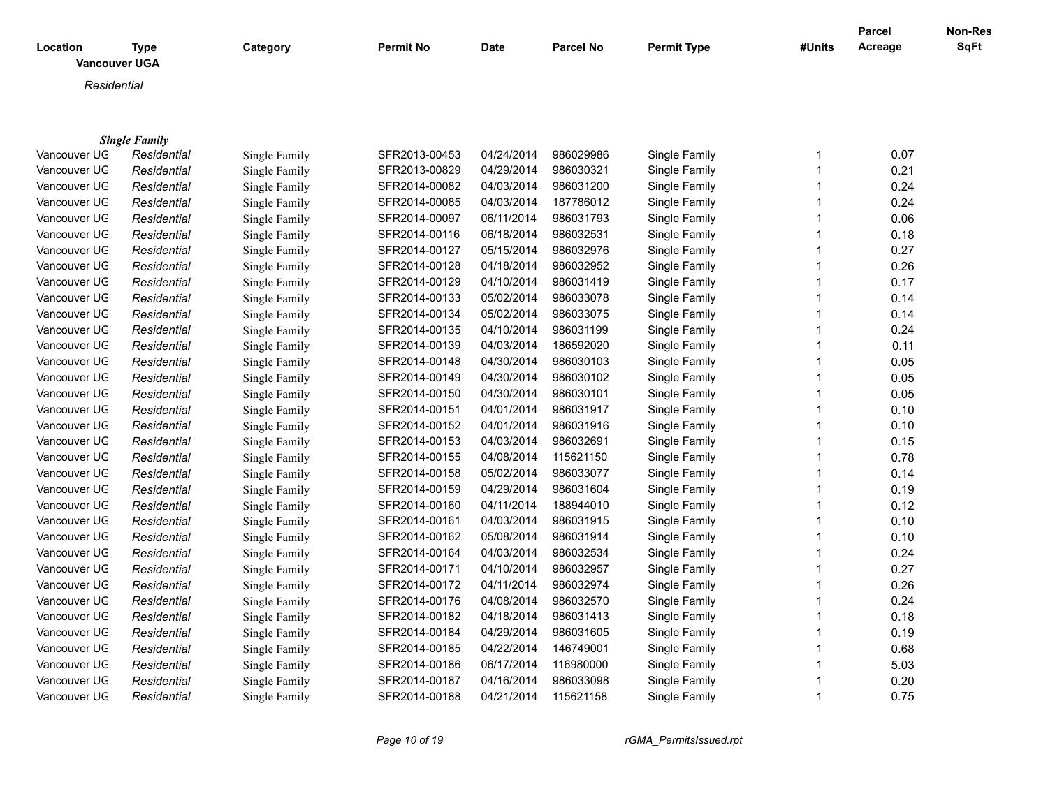| Location     | <b>Type</b><br><b>Vancouver UGA</b> | Category      | <b>Permit No</b> | <b>Date</b> | <b>Parcel No</b> | <b>Permit Type</b> | #Units | <b>Parcel</b><br>Acreage | <b>Non-Res</b><br><b>SqFt</b> |
|--------------|-------------------------------------|---------------|------------------|-------------|------------------|--------------------|--------|--------------------------|-------------------------------|
| Residential  |                                     |               |                  |             |                  |                    |        |                          |                               |
|              |                                     |               |                  |             |                  |                    |        |                          |                               |
|              |                                     |               |                  |             |                  |                    |        |                          |                               |
|              | <b>Single Family</b>                |               |                  |             |                  |                    |        |                          |                               |
| Vancouver UG | Residential                         | Single Family | SFR2013-00453    | 04/24/2014  | 986029986        | Single Family      | 1      | 0.07                     |                               |
| Vancouver UG | Residential                         | Single Family | SFR2013-00829    | 04/29/2014  | 986030321        | Single Family      | 1      | 0.21                     |                               |
| Vancouver UG | Residential                         | Single Family | SFR2014-00082    | 04/03/2014  | 986031200        | Single Family      |        | 0.24                     |                               |
| Vancouver UG | Residential                         | Single Family | SFR2014-00085    | 04/03/2014  | 187786012        | Single Family      |        | 0.24                     |                               |
| Vancouver UG | Residential                         | Single Family | SFR2014-00097    | 06/11/2014  | 986031793        | Single Family      |        | 0.06                     |                               |
| Vancouver UG | Residential                         | Single Family | SFR2014-00116    | 06/18/2014  | 986032531        | Single Family      |        | 0.18                     |                               |
| Vancouver UG | Residential                         | Single Family | SFR2014-00127    | 05/15/2014  | 986032976        | Single Family      |        | 0.27                     |                               |
| Vancouver UG | Residential                         | Single Family | SFR2014-00128    | 04/18/2014  | 986032952        | Single Family      | 1      | 0.26                     |                               |
| Vancouver UG | Residential                         | Single Family | SFR2014-00129    | 04/10/2014  | 986031419        | Single Family      | 1      | 0.17                     |                               |
| Vancouver UG | Residential                         | Single Family | SFR2014-00133    | 05/02/2014  | 986033078        | Single Family      |        | 0.14                     |                               |
| Vancouver UG | Residential                         | Single Family | SFR2014-00134    | 05/02/2014  | 986033075        | Single Family      |        | 0.14                     |                               |
| Vancouver UG | Residential                         | Single Family | SFR2014-00135    | 04/10/2014  | 986031199        | Single Family      |        | 0.24                     |                               |
| Vancouver UG | Residential                         | Single Family | SFR2014-00139    | 04/03/2014  | 186592020        | Single Family      |        | 0.11                     |                               |
| Vancouver UG | Residential                         | Single Family | SFR2014-00148    | 04/30/2014  | 986030103        | Single Family      | 1      | 0.05                     |                               |
| Vancouver UG | Residential                         | Single Family | SFR2014-00149    | 04/30/2014  | 986030102        | Single Family      |        | 0.05                     |                               |
| Vancouver UG | Residential                         | Single Family | SFR2014-00150    | 04/30/2014  | 986030101        | Single Family      |        | 0.05                     |                               |
| Vancouver UG | Residential                         | Single Family | SFR2014-00151    | 04/01/2014  | 986031917        | Single Family      | 1      | 0.10                     |                               |
| Vancouver UG | Residential                         | Single Family | SFR2014-00152    | 04/01/2014  | 986031916        | Single Family      |        | 0.10                     |                               |
| Vancouver UG | Residential                         | Single Family | SFR2014-00153    | 04/03/2014  | 986032691        | Single Family      | 1      | 0.15                     |                               |
| Vancouver UG | Residential                         | Single Family | SFR2014-00155    | 04/08/2014  | 115621150        | Single Family      | 1      | 0.78                     |                               |
| Vancouver UG | Residential                         | Single Family | SFR2014-00158    | 05/02/2014  | 986033077        | Single Family      |        | 0.14                     |                               |
| Vancouver UG | Residential                         | Single Family | SFR2014-00159    | 04/29/2014  | 986031604        | Single Family      |        | 0.19                     |                               |
| Vancouver UG | Residential                         | Single Family | SFR2014-00160    | 04/11/2014  | 188944010        | Single Family      |        | 0.12                     |                               |
| Vancouver UG | Residential                         | Single Family | SFR2014-00161    | 04/03/2014  | 986031915        | Single Family      |        | 0.10                     |                               |
| Vancouver UG | Residential                         | Single Family | SFR2014-00162    | 05/08/2014  | 986031914        | Single Family      |        | 0.10                     |                               |
| Vancouver UG | Residential                         | Single Family | SFR2014-00164    | 04/03/2014  | 986032534        | Single Family      | 1      | 0.24                     |                               |

Vancouver UGA *Residential* Single Family SFR2014-00171 04/10/2014 986032957 Single Family 1 0.27 Vancouver UGA *Residential* Single Family SFR2014-00172 04/11/2014 986032974 Single Family 1 0.26 Vancouver UGA *Residential* Single Family SFR2014-00176 04/08/2014 986032570 Single Family 1 0.24 Vancouver UG *Residential* Single Family SFR2014-00182 04/18/2014 986031413 Single Family 1 0.18 Vancouver UGA *Residential* Single Family SFR2014-00184 04/29/2014 986031605 Single Family 1 0.19 Vancouver UGA *Residential* Single Family SFR2014-00185 04/22/2014 146749001 Single Family 1 0.68 Vancouver UGA *Residential* Single Family SFR2014-00186 06/17/2014 116980000 Single Family 1 5.03 Vancouver UGA *Residential* Single Family SFR2014-00187 04/16/2014 986033098 Single Family 1 0.20 Vancouver UGA *Residential* Single Family SFR2014-00188 04/21/2014 115621158 Single Family 1 0.75

*Page 10 of 19 rGMA\_PermitsIssued.rpt*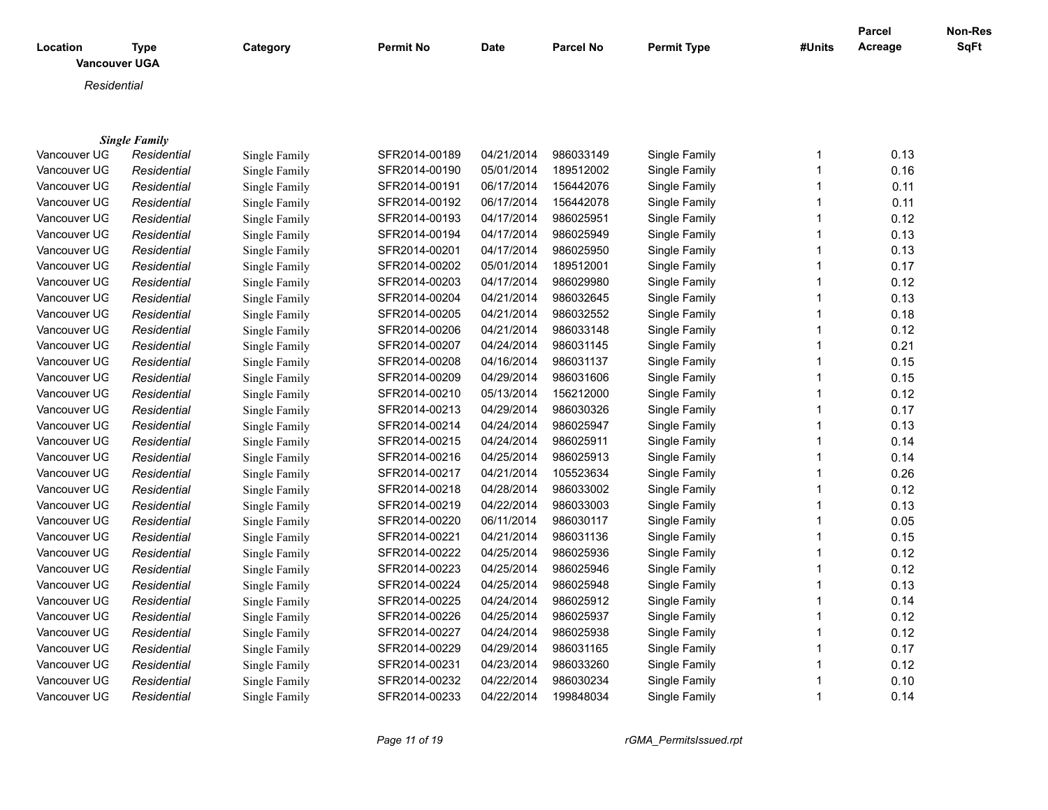| SqFt<br><b>Permit Type</b><br>Acreage<br><b>Type</b><br>Category<br><b>Permit No</b><br><b>Date</b><br><b>Parcel No</b><br>#Units<br>Location<br><b>Vancouver UGA</b><br>Residential<br><b>Single Family</b><br>SFR2014-00189<br>04/21/2014<br>986033149<br>Single Family<br>0.13<br>Vancouver UG<br>Residential<br>Single Family<br>1<br>0.16<br>Vancouver UG<br>SFR2014-00190<br>05/01/2014<br>189512002<br>Single Family<br>$\mathbf{1}$<br>Residential<br>Single Family<br>Vancouver UG<br>SFR2014-00191<br>06/17/2014<br>156442076<br>Single Family<br>$\mathbf{1}$<br>0.11<br>Residential<br>Single Family<br>Vancouver UG<br>SFR2014-00192<br>06/17/2014<br>156442078<br>Single Family<br>$\mathbf{1}$<br>0.11<br>Residential<br>Single Family<br>0.12<br>Vancouver UG<br>SFR2014-00193<br>04/17/2014<br>986025951<br>Single Family<br>$\mathbf{1}$<br>Residential<br>Single Family<br>Vancouver UG<br>SFR2014-00194<br>04/17/2014<br>986025949<br>Single Family<br>1<br>0.13<br>Residential<br>Single Family<br>04/17/2014<br>986025950<br>0.13<br>Vancouver UG<br>SFR2014-00201<br>Single Family<br>$\mathbf{1}$<br>Residential<br>Single Family<br>0.17<br>Vancouver UG<br>SFR2014-00202<br>05/01/2014<br>189512001<br>Single Family<br>$\mathbf 1$<br>Residential<br>Single Family<br>0.12<br>Vancouver UG<br>SFR2014-00203<br>04/17/2014<br>986029980<br>Single Family<br>$\mathbf{1}$<br>Residential<br>Single Family<br>986032645<br>0.13<br>Vancouver UG<br>SFR2014-00204<br>04/21/2014<br>Single Family<br>1<br>Residential<br>Single Family<br>986032552<br>0.18<br>Vancouver UG<br>SFR2014-00205<br>04/21/2014<br>Single Family<br>$\mathbf{1}$<br>Residential<br>Single Family<br>986033148<br>0.12<br>Vancouver UG<br>SFR2014-00206<br>04/21/2014<br>Single Family<br>$\mathbf{1}$<br>Residential<br>Single Family<br>Vancouver UG<br>SFR2014-00207<br>04/24/2014<br>986031145<br>$\mathbf{1}$<br>0.21<br>Residential<br>Single Family<br>Single Family<br>986031137<br>Vancouver UG<br>SFR2014-00208<br>04/16/2014<br>Single Family<br>1<br>0.15<br>Residential<br>Single Family<br>0.15<br>Vancouver UG<br>Residential<br>SFR2014-00209<br>04/29/2014<br>986031606<br>Single Family<br>$\mathbf{1}$<br>Single Family<br>156212000<br>0.12<br>Vancouver UG<br>Residential<br>Single Family<br>SFR2014-00210<br>05/13/2014<br>Single Family<br>$\mathbf{1}$<br>$\mathbf{1}$<br>0.17<br>Vancouver UG<br>SFR2014-00213<br>04/29/2014<br>986030326<br>Single Family<br>Residential<br>Single Family<br>0.13<br>Vancouver UG<br>SFR2014-00214<br>04/24/2014<br>986025947<br>Single Family<br>$\mathbf{1}$<br>Residential<br>Single Family<br>0.14<br>Vancouver UG<br>SFR2014-00215<br>04/24/2014<br>986025911<br>Single Family<br>$\mathbf{1}$<br>Residential<br>Single Family<br>986025913<br>0.14<br>Vancouver UG<br>Residential<br>SFR2014-00216<br>04/25/2014<br>Single Family<br>$\mathbf{1}$<br>Single Family<br>105523634<br>SFR2014-00217<br>04/21/2014<br>Single Family<br>$\mathbf{1}$<br>0.26<br>Vancouver UG<br>Residential<br>Single Family<br>04/28/2014<br>986033002<br>0.12<br>Vancouver UG<br>Residential<br>Single Family<br>SFR2014-00218<br>Single Family<br>1<br>986033003<br>0.13<br>Vancouver UG<br>Residential<br>Single Family<br>SFR2014-00219<br>04/22/2014<br>Single Family<br>1<br>0.05<br>986030117<br>Vancouver UG<br>Residential<br>Single Family<br>SFR2014-00220<br>06/11/2014<br>Single Family<br>1<br>$\mathbf{1}$<br>0.15<br>Vancouver UG<br>Residential<br>Single Family<br>SFR2014-00221<br>04/21/2014<br>986031136<br>Single Family<br>986025936<br>0.12<br>Vancouver UG<br>Single Family<br>SFR2014-00222<br>04/25/2014<br>Single Family<br>1<br>Residential<br>0.12<br>Vancouver UG<br>SFR2014-00223<br>04/25/2014<br>986025946<br>Single Family<br>1<br>Residential<br>Single Family<br>986025948<br>0.13<br>Vancouver UG<br>Single Family<br>SFR2014-00224<br>04/25/2014<br>Single Family<br>1<br>Residential<br>$\mathbf{1}$<br>Vancouver UG<br>SFR2014-00225<br>04/24/2014<br>986025912<br>Single Family<br>0.14<br>Residential<br>Single Family<br>SFR2014-00226<br>04/25/2014<br>986025937<br>Single Family<br>1<br>0.12<br>Vancouver UG<br>Residential<br>Single Family<br>SFR2014-00227<br>04/24/2014<br>986025938<br>Single Family<br>1<br>0.12<br>Vancouver UG<br>Residential<br>Single Family<br>SFR2014-00229<br>04/29/2014<br>986031165<br>Single Family<br>0.17<br>Vancouver UG<br>Residential<br>Single Family<br>1<br>04/23/2014<br>986033260<br>Single Family<br>1<br>0.12<br>Vancouver UG<br>Residential<br>Single Family<br>SFR2014-00231<br>Vancouver UG<br>SFR2014-00232<br>04/22/2014<br>986030234<br>Single Family<br>0.10<br>Residential<br>Single Family<br>1<br>Vancouver UG<br>SFR2014-00233<br>04/22/2014<br>199848034<br>Single Family<br>$\mathbf{1}$<br>0.14<br>Residential<br>Single Family |  |  |  |  | <b>Parcel</b> | Non-Res |
|---------------------------------------------------------------------------------------------------------------------------------------------------------------------------------------------------------------------------------------------------------------------------------------------------------------------------------------------------------------------------------------------------------------------------------------------------------------------------------------------------------------------------------------------------------------------------------------------------------------------------------------------------------------------------------------------------------------------------------------------------------------------------------------------------------------------------------------------------------------------------------------------------------------------------------------------------------------------------------------------------------------------------------------------------------------------------------------------------------------------------------------------------------------------------------------------------------------------------------------------------------------------------------------------------------------------------------------------------------------------------------------------------------------------------------------------------------------------------------------------------------------------------------------------------------------------------------------------------------------------------------------------------------------------------------------------------------------------------------------------------------------------------------------------------------------------------------------------------------------------------------------------------------------------------------------------------------------------------------------------------------------------------------------------------------------------------------------------------------------------------------------------------------------------------------------------------------------------------------------------------------------------------------------------------------------------------------------------------------------------------------------------------------------------------------------------------------------------------------------------------------------------------------------------------------------------------------------------------------------------------------------------------------------------------------------------------------------------------------------------------------------------------------------------------------------------------------------------------------------------------------------------------------------------------------------------------------------------------------------------------------------------------------------------------------------------------------------------------------------------------------------------------------------------------------------------------------------------------------------------------------------------------------------------------------------------------------------------------------------------------------------------------------------------------------------------------------------------------------------------------------------------------------------------------------------------------------------------------------------------------------------------------------------------------------------------------------------------------------------------------------------------------------------------------------------------------------------------------------------------------------------------------------------------------------------------------------------------------------------------------------------------------------------------------------------------------------------------------------------------------------------------------------------------------------------------------------------------------------------------------------------------------------------------------------------------------------------------------------------------------------------------------------------------------------------------------------------------------------------------------------------------------------------------------------------------------------------------------------------------------------------------------------------------------------------------------------------------------------------------------------------------------------------------------------------------------------------------------------------------------------------|--|--|--|--|---------------|---------|
|                                                                                                                                                                                                                                                                                                                                                                                                                                                                                                                                                                                                                                                                                                                                                                                                                                                                                                                                                                                                                                                                                                                                                                                                                                                                                                                                                                                                                                                                                                                                                                                                                                                                                                                                                                                                                                                                                                                                                                                                                                                                                                                                                                                                                                                                                                                                                                                                                                                                                                                                                                                                                                                                                                                                                                                                                                                                                                                                                                                                                                                                                                                                                                                                                                                                                                                                                                                                                                                                                                                                                                                                                                                                                                                                                                                                                                                                                                                                                                                                                                                                                                                                                                                                                                                                                                                                                                                                                                                                                                                                                                                                                                                                                                                                                                                                                                                                                       |  |  |  |  |               |         |
|                                                                                                                                                                                                                                                                                                                                                                                                                                                                                                                                                                                                                                                                                                                                                                                                                                                                                                                                                                                                                                                                                                                                                                                                                                                                                                                                                                                                                                                                                                                                                                                                                                                                                                                                                                                                                                                                                                                                                                                                                                                                                                                                                                                                                                                                                                                                                                                                                                                                                                                                                                                                                                                                                                                                                                                                                                                                                                                                                                                                                                                                                                                                                                                                                                                                                                                                                                                                                                                                                                                                                                                                                                                                                                                                                                                                                                                                                                                                                                                                                                                                                                                                                                                                                                                                                                                                                                                                                                                                                                                                                                                                                                                                                                                                                                                                                                                                                       |  |  |  |  |               |         |
|                                                                                                                                                                                                                                                                                                                                                                                                                                                                                                                                                                                                                                                                                                                                                                                                                                                                                                                                                                                                                                                                                                                                                                                                                                                                                                                                                                                                                                                                                                                                                                                                                                                                                                                                                                                                                                                                                                                                                                                                                                                                                                                                                                                                                                                                                                                                                                                                                                                                                                                                                                                                                                                                                                                                                                                                                                                                                                                                                                                                                                                                                                                                                                                                                                                                                                                                                                                                                                                                                                                                                                                                                                                                                                                                                                                                                                                                                                                                                                                                                                                                                                                                                                                                                                                                                                                                                                                                                                                                                                                                                                                                                                                                                                                                                                                                                                                                                       |  |  |  |  |               |         |
|                                                                                                                                                                                                                                                                                                                                                                                                                                                                                                                                                                                                                                                                                                                                                                                                                                                                                                                                                                                                                                                                                                                                                                                                                                                                                                                                                                                                                                                                                                                                                                                                                                                                                                                                                                                                                                                                                                                                                                                                                                                                                                                                                                                                                                                                                                                                                                                                                                                                                                                                                                                                                                                                                                                                                                                                                                                                                                                                                                                                                                                                                                                                                                                                                                                                                                                                                                                                                                                                                                                                                                                                                                                                                                                                                                                                                                                                                                                                                                                                                                                                                                                                                                                                                                                                                                                                                                                                                                                                                                                                                                                                                                                                                                                                                                                                                                                                                       |  |  |  |  |               |         |
|                                                                                                                                                                                                                                                                                                                                                                                                                                                                                                                                                                                                                                                                                                                                                                                                                                                                                                                                                                                                                                                                                                                                                                                                                                                                                                                                                                                                                                                                                                                                                                                                                                                                                                                                                                                                                                                                                                                                                                                                                                                                                                                                                                                                                                                                                                                                                                                                                                                                                                                                                                                                                                                                                                                                                                                                                                                                                                                                                                                                                                                                                                                                                                                                                                                                                                                                                                                                                                                                                                                                                                                                                                                                                                                                                                                                                                                                                                                                                                                                                                                                                                                                                                                                                                                                                                                                                                                                                                                                                                                                                                                                                                                                                                                                                                                                                                                                                       |  |  |  |  |               |         |
|                                                                                                                                                                                                                                                                                                                                                                                                                                                                                                                                                                                                                                                                                                                                                                                                                                                                                                                                                                                                                                                                                                                                                                                                                                                                                                                                                                                                                                                                                                                                                                                                                                                                                                                                                                                                                                                                                                                                                                                                                                                                                                                                                                                                                                                                                                                                                                                                                                                                                                                                                                                                                                                                                                                                                                                                                                                                                                                                                                                                                                                                                                                                                                                                                                                                                                                                                                                                                                                                                                                                                                                                                                                                                                                                                                                                                                                                                                                                                                                                                                                                                                                                                                                                                                                                                                                                                                                                                                                                                                                                                                                                                                                                                                                                                                                                                                                                                       |  |  |  |  |               |         |
|                                                                                                                                                                                                                                                                                                                                                                                                                                                                                                                                                                                                                                                                                                                                                                                                                                                                                                                                                                                                                                                                                                                                                                                                                                                                                                                                                                                                                                                                                                                                                                                                                                                                                                                                                                                                                                                                                                                                                                                                                                                                                                                                                                                                                                                                                                                                                                                                                                                                                                                                                                                                                                                                                                                                                                                                                                                                                                                                                                                                                                                                                                                                                                                                                                                                                                                                                                                                                                                                                                                                                                                                                                                                                                                                                                                                                                                                                                                                                                                                                                                                                                                                                                                                                                                                                                                                                                                                                                                                                                                                                                                                                                                                                                                                                                                                                                                                                       |  |  |  |  |               |         |
|                                                                                                                                                                                                                                                                                                                                                                                                                                                                                                                                                                                                                                                                                                                                                                                                                                                                                                                                                                                                                                                                                                                                                                                                                                                                                                                                                                                                                                                                                                                                                                                                                                                                                                                                                                                                                                                                                                                                                                                                                                                                                                                                                                                                                                                                                                                                                                                                                                                                                                                                                                                                                                                                                                                                                                                                                                                                                                                                                                                                                                                                                                                                                                                                                                                                                                                                                                                                                                                                                                                                                                                                                                                                                                                                                                                                                                                                                                                                                                                                                                                                                                                                                                                                                                                                                                                                                                                                                                                                                                                                                                                                                                                                                                                                                                                                                                                                                       |  |  |  |  |               |         |
|                                                                                                                                                                                                                                                                                                                                                                                                                                                                                                                                                                                                                                                                                                                                                                                                                                                                                                                                                                                                                                                                                                                                                                                                                                                                                                                                                                                                                                                                                                                                                                                                                                                                                                                                                                                                                                                                                                                                                                                                                                                                                                                                                                                                                                                                                                                                                                                                                                                                                                                                                                                                                                                                                                                                                                                                                                                                                                                                                                                                                                                                                                                                                                                                                                                                                                                                                                                                                                                                                                                                                                                                                                                                                                                                                                                                                                                                                                                                                                                                                                                                                                                                                                                                                                                                                                                                                                                                                                                                                                                                                                                                                                                                                                                                                                                                                                                                                       |  |  |  |  |               |         |
|                                                                                                                                                                                                                                                                                                                                                                                                                                                                                                                                                                                                                                                                                                                                                                                                                                                                                                                                                                                                                                                                                                                                                                                                                                                                                                                                                                                                                                                                                                                                                                                                                                                                                                                                                                                                                                                                                                                                                                                                                                                                                                                                                                                                                                                                                                                                                                                                                                                                                                                                                                                                                                                                                                                                                                                                                                                                                                                                                                                                                                                                                                                                                                                                                                                                                                                                                                                                                                                                                                                                                                                                                                                                                                                                                                                                                                                                                                                                                                                                                                                                                                                                                                                                                                                                                                                                                                                                                                                                                                                                                                                                                                                                                                                                                                                                                                                                                       |  |  |  |  |               |         |
|                                                                                                                                                                                                                                                                                                                                                                                                                                                                                                                                                                                                                                                                                                                                                                                                                                                                                                                                                                                                                                                                                                                                                                                                                                                                                                                                                                                                                                                                                                                                                                                                                                                                                                                                                                                                                                                                                                                                                                                                                                                                                                                                                                                                                                                                                                                                                                                                                                                                                                                                                                                                                                                                                                                                                                                                                                                                                                                                                                                                                                                                                                                                                                                                                                                                                                                                                                                                                                                                                                                                                                                                                                                                                                                                                                                                                                                                                                                                                                                                                                                                                                                                                                                                                                                                                                                                                                                                                                                                                                                                                                                                                                                                                                                                                                                                                                                                                       |  |  |  |  |               |         |
|                                                                                                                                                                                                                                                                                                                                                                                                                                                                                                                                                                                                                                                                                                                                                                                                                                                                                                                                                                                                                                                                                                                                                                                                                                                                                                                                                                                                                                                                                                                                                                                                                                                                                                                                                                                                                                                                                                                                                                                                                                                                                                                                                                                                                                                                                                                                                                                                                                                                                                                                                                                                                                                                                                                                                                                                                                                                                                                                                                                                                                                                                                                                                                                                                                                                                                                                                                                                                                                                                                                                                                                                                                                                                                                                                                                                                                                                                                                                                                                                                                                                                                                                                                                                                                                                                                                                                                                                                                                                                                                                                                                                                                                                                                                                                                                                                                                                                       |  |  |  |  |               |         |
|                                                                                                                                                                                                                                                                                                                                                                                                                                                                                                                                                                                                                                                                                                                                                                                                                                                                                                                                                                                                                                                                                                                                                                                                                                                                                                                                                                                                                                                                                                                                                                                                                                                                                                                                                                                                                                                                                                                                                                                                                                                                                                                                                                                                                                                                                                                                                                                                                                                                                                                                                                                                                                                                                                                                                                                                                                                                                                                                                                                                                                                                                                                                                                                                                                                                                                                                                                                                                                                                                                                                                                                                                                                                                                                                                                                                                                                                                                                                                                                                                                                                                                                                                                                                                                                                                                                                                                                                                                                                                                                                                                                                                                                                                                                                                                                                                                                                                       |  |  |  |  |               |         |
|                                                                                                                                                                                                                                                                                                                                                                                                                                                                                                                                                                                                                                                                                                                                                                                                                                                                                                                                                                                                                                                                                                                                                                                                                                                                                                                                                                                                                                                                                                                                                                                                                                                                                                                                                                                                                                                                                                                                                                                                                                                                                                                                                                                                                                                                                                                                                                                                                                                                                                                                                                                                                                                                                                                                                                                                                                                                                                                                                                                                                                                                                                                                                                                                                                                                                                                                                                                                                                                                                                                                                                                                                                                                                                                                                                                                                                                                                                                                                                                                                                                                                                                                                                                                                                                                                                                                                                                                                                                                                                                                                                                                                                                                                                                                                                                                                                                                                       |  |  |  |  |               |         |
|                                                                                                                                                                                                                                                                                                                                                                                                                                                                                                                                                                                                                                                                                                                                                                                                                                                                                                                                                                                                                                                                                                                                                                                                                                                                                                                                                                                                                                                                                                                                                                                                                                                                                                                                                                                                                                                                                                                                                                                                                                                                                                                                                                                                                                                                                                                                                                                                                                                                                                                                                                                                                                                                                                                                                                                                                                                                                                                                                                                                                                                                                                                                                                                                                                                                                                                                                                                                                                                                                                                                                                                                                                                                                                                                                                                                                                                                                                                                                                                                                                                                                                                                                                                                                                                                                                                                                                                                                                                                                                                                                                                                                                                                                                                                                                                                                                                                                       |  |  |  |  |               |         |
|                                                                                                                                                                                                                                                                                                                                                                                                                                                                                                                                                                                                                                                                                                                                                                                                                                                                                                                                                                                                                                                                                                                                                                                                                                                                                                                                                                                                                                                                                                                                                                                                                                                                                                                                                                                                                                                                                                                                                                                                                                                                                                                                                                                                                                                                                                                                                                                                                                                                                                                                                                                                                                                                                                                                                                                                                                                                                                                                                                                                                                                                                                                                                                                                                                                                                                                                                                                                                                                                                                                                                                                                                                                                                                                                                                                                                                                                                                                                                                                                                                                                                                                                                                                                                                                                                                                                                                                                                                                                                                                                                                                                                                                                                                                                                                                                                                                                                       |  |  |  |  |               |         |
|                                                                                                                                                                                                                                                                                                                                                                                                                                                                                                                                                                                                                                                                                                                                                                                                                                                                                                                                                                                                                                                                                                                                                                                                                                                                                                                                                                                                                                                                                                                                                                                                                                                                                                                                                                                                                                                                                                                                                                                                                                                                                                                                                                                                                                                                                                                                                                                                                                                                                                                                                                                                                                                                                                                                                                                                                                                                                                                                                                                                                                                                                                                                                                                                                                                                                                                                                                                                                                                                                                                                                                                                                                                                                                                                                                                                                                                                                                                                                                                                                                                                                                                                                                                                                                                                                                                                                                                                                                                                                                                                                                                                                                                                                                                                                                                                                                                                                       |  |  |  |  |               |         |
|                                                                                                                                                                                                                                                                                                                                                                                                                                                                                                                                                                                                                                                                                                                                                                                                                                                                                                                                                                                                                                                                                                                                                                                                                                                                                                                                                                                                                                                                                                                                                                                                                                                                                                                                                                                                                                                                                                                                                                                                                                                                                                                                                                                                                                                                                                                                                                                                                                                                                                                                                                                                                                                                                                                                                                                                                                                                                                                                                                                                                                                                                                                                                                                                                                                                                                                                                                                                                                                                                                                                                                                                                                                                                                                                                                                                                                                                                                                                                                                                                                                                                                                                                                                                                                                                                                                                                                                                                                                                                                                                                                                                                                                                                                                                                                                                                                                                                       |  |  |  |  |               |         |
|                                                                                                                                                                                                                                                                                                                                                                                                                                                                                                                                                                                                                                                                                                                                                                                                                                                                                                                                                                                                                                                                                                                                                                                                                                                                                                                                                                                                                                                                                                                                                                                                                                                                                                                                                                                                                                                                                                                                                                                                                                                                                                                                                                                                                                                                                                                                                                                                                                                                                                                                                                                                                                                                                                                                                                                                                                                                                                                                                                                                                                                                                                                                                                                                                                                                                                                                                                                                                                                                                                                                                                                                                                                                                                                                                                                                                                                                                                                                                                                                                                                                                                                                                                                                                                                                                                                                                                                                                                                                                                                                                                                                                                                                                                                                                                                                                                                                                       |  |  |  |  |               |         |
|                                                                                                                                                                                                                                                                                                                                                                                                                                                                                                                                                                                                                                                                                                                                                                                                                                                                                                                                                                                                                                                                                                                                                                                                                                                                                                                                                                                                                                                                                                                                                                                                                                                                                                                                                                                                                                                                                                                                                                                                                                                                                                                                                                                                                                                                                                                                                                                                                                                                                                                                                                                                                                                                                                                                                                                                                                                                                                                                                                                                                                                                                                                                                                                                                                                                                                                                                                                                                                                                                                                                                                                                                                                                                                                                                                                                                                                                                                                                                                                                                                                                                                                                                                                                                                                                                                                                                                                                                                                                                                                                                                                                                                                                                                                                                                                                                                                                                       |  |  |  |  |               |         |
|                                                                                                                                                                                                                                                                                                                                                                                                                                                                                                                                                                                                                                                                                                                                                                                                                                                                                                                                                                                                                                                                                                                                                                                                                                                                                                                                                                                                                                                                                                                                                                                                                                                                                                                                                                                                                                                                                                                                                                                                                                                                                                                                                                                                                                                                                                                                                                                                                                                                                                                                                                                                                                                                                                                                                                                                                                                                                                                                                                                                                                                                                                                                                                                                                                                                                                                                                                                                                                                                                                                                                                                                                                                                                                                                                                                                                                                                                                                                                                                                                                                                                                                                                                                                                                                                                                                                                                                                                                                                                                                                                                                                                                                                                                                                                                                                                                                                                       |  |  |  |  |               |         |
|                                                                                                                                                                                                                                                                                                                                                                                                                                                                                                                                                                                                                                                                                                                                                                                                                                                                                                                                                                                                                                                                                                                                                                                                                                                                                                                                                                                                                                                                                                                                                                                                                                                                                                                                                                                                                                                                                                                                                                                                                                                                                                                                                                                                                                                                                                                                                                                                                                                                                                                                                                                                                                                                                                                                                                                                                                                                                                                                                                                                                                                                                                                                                                                                                                                                                                                                                                                                                                                                                                                                                                                                                                                                                                                                                                                                                                                                                                                                                                                                                                                                                                                                                                                                                                                                                                                                                                                                                                                                                                                                                                                                                                                                                                                                                                                                                                                                                       |  |  |  |  |               |         |
|                                                                                                                                                                                                                                                                                                                                                                                                                                                                                                                                                                                                                                                                                                                                                                                                                                                                                                                                                                                                                                                                                                                                                                                                                                                                                                                                                                                                                                                                                                                                                                                                                                                                                                                                                                                                                                                                                                                                                                                                                                                                                                                                                                                                                                                                                                                                                                                                                                                                                                                                                                                                                                                                                                                                                                                                                                                                                                                                                                                                                                                                                                                                                                                                                                                                                                                                                                                                                                                                                                                                                                                                                                                                                                                                                                                                                                                                                                                                                                                                                                                                                                                                                                                                                                                                                                                                                                                                                                                                                                                                                                                                                                                                                                                                                                                                                                                                                       |  |  |  |  |               |         |
|                                                                                                                                                                                                                                                                                                                                                                                                                                                                                                                                                                                                                                                                                                                                                                                                                                                                                                                                                                                                                                                                                                                                                                                                                                                                                                                                                                                                                                                                                                                                                                                                                                                                                                                                                                                                                                                                                                                                                                                                                                                                                                                                                                                                                                                                                                                                                                                                                                                                                                                                                                                                                                                                                                                                                                                                                                                                                                                                                                                                                                                                                                                                                                                                                                                                                                                                                                                                                                                                                                                                                                                                                                                                                                                                                                                                                                                                                                                                                                                                                                                                                                                                                                                                                                                                                                                                                                                                                                                                                                                                                                                                                                                                                                                                                                                                                                                                                       |  |  |  |  |               |         |
|                                                                                                                                                                                                                                                                                                                                                                                                                                                                                                                                                                                                                                                                                                                                                                                                                                                                                                                                                                                                                                                                                                                                                                                                                                                                                                                                                                                                                                                                                                                                                                                                                                                                                                                                                                                                                                                                                                                                                                                                                                                                                                                                                                                                                                                                                                                                                                                                                                                                                                                                                                                                                                                                                                                                                                                                                                                                                                                                                                                                                                                                                                                                                                                                                                                                                                                                                                                                                                                                                                                                                                                                                                                                                                                                                                                                                                                                                                                                                                                                                                                                                                                                                                                                                                                                                                                                                                                                                                                                                                                                                                                                                                                                                                                                                                                                                                                                                       |  |  |  |  |               |         |
|                                                                                                                                                                                                                                                                                                                                                                                                                                                                                                                                                                                                                                                                                                                                                                                                                                                                                                                                                                                                                                                                                                                                                                                                                                                                                                                                                                                                                                                                                                                                                                                                                                                                                                                                                                                                                                                                                                                                                                                                                                                                                                                                                                                                                                                                                                                                                                                                                                                                                                                                                                                                                                                                                                                                                                                                                                                                                                                                                                                                                                                                                                                                                                                                                                                                                                                                                                                                                                                                                                                                                                                                                                                                                                                                                                                                                                                                                                                                                                                                                                                                                                                                                                                                                                                                                                                                                                                                                                                                                                                                                                                                                                                                                                                                                                                                                                                                                       |  |  |  |  |               |         |
|                                                                                                                                                                                                                                                                                                                                                                                                                                                                                                                                                                                                                                                                                                                                                                                                                                                                                                                                                                                                                                                                                                                                                                                                                                                                                                                                                                                                                                                                                                                                                                                                                                                                                                                                                                                                                                                                                                                                                                                                                                                                                                                                                                                                                                                                                                                                                                                                                                                                                                                                                                                                                                                                                                                                                                                                                                                                                                                                                                                                                                                                                                                                                                                                                                                                                                                                                                                                                                                                                                                                                                                                                                                                                                                                                                                                                                                                                                                                                                                                                                                                                                                                                                                                                                                                                                                                                                                                                                                                                                                                                                                                                                                                                                                                                                                                                                                                                       |  |  |  |  |               |         |
|                                                                                                                                                                                                                                                                                                                                                                                                                                                                                                                                                                                                                                                                                                                                                                                                                                                                                                                                                                                                                                                                                                                                                                                                                                                                                                                                                                                                                                                                                                                                                                                                                                                                                                                                                                                                                                                                                                                                                                                                                                                                                                                                                                                                                                                                                                                                                                                                                                                                                                                                                                                                                                                                                                                                                                                                                                                                                                                                                                                                                                                                                                                                                                                                                                                                                                                                                                                                                                                                                                                                                                                                                                                                                                                                                                                                                                                                                                                                                                                                                                                                                                                                                                                                                                                                                                                                                                                                                                                                                                                                                                                                                                                                                                                                                                                                                                                                                       |  |  |  |  |               |         |
|                                                                                                                                                                                                                                                                                                                                                                                                                                                                                                                                                                                                                                                                                                                                                                                                                                                                                                                                                                                                                                                                                                                                                                                                                                                                                                                                                                                                                                                                                                                                                                                                                                                                                                                                                                                                                                                                                                                                                                                                                                                                                                                                                                                                                                                                                                                                                                                                                                                                                                                                                                                                                                                                                                                                                                                                                                                                                                                                                                                                                                                                                                                                                                                                                                                                                                                                                                                                                                                                                                                                                                                                                                                                                                                                                                                                                                                                                                                                                                                                                                                                                                                                                                                                                                                                                                                                                                                                                                                                                                                                                                                                                                                                                                                                                                                                                                                                                       |  |  |  |  |               |         |
|                                                                                                                                                                                                                                                                                                                                                                                                                                                                                                                                                                                                                                                                                                                                                                                                                                                                                                                                                                                                                                                                                                                                                                                                                                                                                                                                                                                                                                                                                                                                                                                                                                                                                                                                                                                                                                                                                                                                                                                                                                                                                                                                                                                                                                                                                                                                                                                                                                                                                                                                                                                                                                                                                                                                                                                                                                                                                                                                                                                                                                                                                                                                                                                                                                                                                                                                                                                                                                                                                                                                                                                                                                                                                                                                                                                                                                                                                                                                                                                                                                                                                                                                                                                                                                                                                                                                                                                                                                                                                                                                                                                                                                                                                                                                                                                                                                                                                       |  |  |  |  |               |         |
|                                                                                                                                                                                                                                                                                                                                                                                                                                                                                                                                                                                                                                                                                                                                                                                                                                                                                                                                                                                                                                                                                                                                                                                                                                                                                                                                                                                                                                                                                                                                                                                                                                                                                                                                                                                                                                                                                                                                                                                                                                                                                                                                                                                                                                                                                                                                                                                                                                                                                                                                                                                                                                                                                                                                                                                                                                                                                                                                                                                                                                                                                                                                                                                                                                                                                                                                                                                                                                                                                                                                                                                                                                                                                                                                                                                                                                                                                                                                                                                                                                                                                                                                                                                                                                                                                                                                                                                                                                                                                                                                                                                                                                                                                                                                                                                                                                                                                       |  |  |  |  |               |         |
|                                                                                                                                                                                                                                                                                                                                                                                                                                                                                                                                                                                                                                                                                                                                                                                                                                                                                                                                                                                                                                                                                                                                                                                                                                                                                                                                                                                                                                                                                                                                                                                                                                                                                                                                                                                                                                                                                                                                                                                                                                                                                                                                                                                                                                                                                                                                                                                                                                                                                                                                                                                                                                                                                                                                                                                                                                                                                                                                                                                                                                                                                                                                                                                                                                                                                                                                                                                                                                                                                                                                                                                                                                                                                                                                                                                                                                                                                                                                                                                                                                                                                                                                                                                                                                                                                                                                                                                                                                                                                                                                                                                                                                                                                                                                                                                                                                                                                       |  |  |  |  |               |         |
|                                                                                                                                                                                                                                                                                                                                                                                                                                                                                                                                                                                                                                                                                                                                                                                                                                                                                                                                                                                                                                                                                                                                                                                                                                                                                                                                                                                                                                                                                                                                                                                                                                                                                                                                                                                                                                                                                                                                                                                                                                                                                                                                                                                                                                                                                                                                                                                                                                                                                                                                                                                                                                                                                                                                                                                                                                                                                                                                                                                                                                                                                                                                                                                                                                                                                                                                                                                                                                                                                                                                                                                                                                                                                                                                                                                                                                                                                                                                                                                                                                                                                                                                                                                                                                                                                                                                                                                                                                                                                                                                                                                                                                                                                                                                                                                                                                                                                       |  |  |  |  |               |         |
|                                                                                                                                                                                                                                                                                                                                                                                                                                                                                                                                                                                                                                                                                                                                                                                                                                                                                                                                                                                                                                                                                                                                                                                                                                                                                                                                                                                                                                                                                                                                                                                                                                                                                                                                                                                                                                                                                                                                                                                                                                                                                                                                                                                                                                                                                                                                                                                                                                                                                                                                                                                                                                                                                                                                                                                                                                                                                                                                                                                                                                                                                                                                                                                                                                                                                                                                                                                                                                                                                                                                                                                                                                                                                                                                                                                                                                                                                                                                                                                                                                                                                                                                                                                                                                                                                                                                                                                                                                                                                                                                                                                                                                                                                                                                                                                                                                                                                       |  |  |  |  |               |         |
|                                                                                                                                                                                                                                                                                                                                                                                                                                                                                                                                                                                                                                                                                                                                                                                                                                                                                                                                                                                                                                                                                                                                                                                                                                                                                                                                                                                                                                                                                                                                                                                                                                                                                                                                                                                                                                                                                                                                                                                                                                                                                                                                                                                                                                                                                                                                                                                                                                                                                                                                                                                                                                                                                                                                                                                                                                                                                                                                                                                                                                                                                                                                                                                                                                                                                                                                                                                                                                                                                                                                                                                                                                                                                                                                                                                                                                                                                                                                                                                                                                                                                                                                                                                                                                                                                                                                                                                                                                                                                                                                                                                                                                                                                                                                                                                                                                                                                       |  |  |  |  |               |         |
|                                                                                                                                                                                                                                                                                                                                                                                                                                                                                                                                                                                                                                                                                                                                                                                                                                                                                                                                                                                                                                                                                                                                                                                                                                                                                                                                                                                                                                                                                                                                                                                                                                                                                                                                                                                                                                                                                                                                                                                                                                                                                                                                                                                                                                                                                                                                                                                                                                                                                                                                                                                                                                                                                                                                                                                                                                                                                                                                                                                                                                                                                                                                                                                                                                                                                                                                                                                                                                                                                                                                                                                                                                                                                                                                                                                                                                                                                                                                                                                                                                                                                                                                                                                                                                                                                                                                                                                                                                                                                                                                                                                                                                                                                                                                                                                                                                                                                       |  |  |  |  |               |         |
|                                                                                                                                                                                                                                                                                                                                                                                                                                                                                                                                                                                                                                                                                                                                                                                                                                                                                                                                                                                                                                                                                                                                                                                                                                                                                                                                                                                                                                                                                                                                                                                                                                                                                                                                                                                                                                                                                                                                                                                                                                                                                                                                                                                                                                                                                                                                                                                                                                                                                                                                                                                                                                                                                                                                                                                                                                                                                                                                                                                                                                                                                                                                                                                                                                                                                                                                                                                                                                                                                                                                                                                                                                                                                                                                                                                                                                                                                                                                                                                                                                                                                                                                                                                                                                                                                                                                                                                                                                                                                                                                                                                                                                                                                                                                                                                                                                                                                       |  |  |  |  |               |         |
|                                                                                                                                                                                                                                                                                                                                                                                                                                                                                                                                                                                                                                                                                                                                                                                                                                                                                                                                                                                                                                                                                                                                                                                                                                                                                                                                                                                                                                                                                                                                                                                                                                                                                                                                                                                                                                                                                                                                                                                                                                                                                                                                                                                                                                                                                                                                                                                                                                                                                                                                                                                                                                                                                                                                                                                                                                                                                                                                                                                                                                                                                                                                                                                                                                                                                                                                                                                                                                                                                                                                                                                                                                                                                                                                                                                                                                                                                                                                                                                                                                                                                                                                                                                                                                                                                                                                                                                                                                                                                                                                                                                                                                                                                                                                                                                                                                                                                       |  |  |  |  |               |         |
|                                                                                                                                                                                                                                                                                                                                                                                                                                                                                                                                                                                                                                                                                                                                                                                                                                                                                                                                                                                                                                                                                                                                                                                                                                                                                                                                                                                                                                                                                                                                                                                                                                                                                                                                                                                                                                                                                                                                                                                                                                                                                                                                                                                                                                                                                                                                                                                                                                                                                                                                                                                                                                                                                                                                                                                                                                                                                                                                                                                                                                                                                                                                                                                                                                                                                                                                                                                                                                                                                                                                                                                                                                                                                                                                                                                                                                                                                                                                                                                                                                                                                                                                                                                                                                                                                                                                                                                                                                                                                                                                                                                                                                                                                                                                                                                                                                                                                       |  |  |  |  |               |         |
|                                                                                                                                                                                                                                                                                                                                                                                                                                                                                                                                                                                                                                                                                                                                                                                                                                                                                                                                                                                                                                                                                                                                                                                                                                                                                                                                                                                                                                                                                                                                                                                                                                                                                                                                                                                                                                                                                                                                                                                                                                                                                                                                                                                                                                                                                                                                                                                                                                                                                                                                                                                                                                                                                                                                                                                                                                                                                                                                                                                                                                                                                                                                                                                                                                                                                                                                                                                                                                                                                                                                                                                                                                                                                                                                                                                                                                                                                                                                                                                                                                                                                                                                                                                                                                                                                                                                                                                                                                                                                                                                                                                                                                                                                                                                                                                                                                                                                       |  |  |  |  |               |         |
|                                                                                                                                                                                                                                                                                                                                                                                                                                                                                                                                                                                                                                                                                                                                                                                                                                                                                                                                                                                                                                                                                                                                                                                                                                                                                                                                                                                                                                                                                                                                                                                                                                                                                                                                                                                                                                                                                                                                                                                                                                                                                                                                                                                                                                                                                                                                                                                                                                                                                                                                                                                                                                                                                                                                                                                                                                                                                                                                                                                                                                                                                                                                                                                                                                                                                                                                                                                                                                                                                                                                                                                                                                                                                                                                                                                                                                                                                                                                                                                                                                                                                                                                                                                                                                                                                                                                                                                                                                                                                                                                                                                                                                                                                                                                                                                                                                                                                       |  |  |  |  |               |         |

*Page 11 of 19 rGMA\_PermitsIssued.rpt*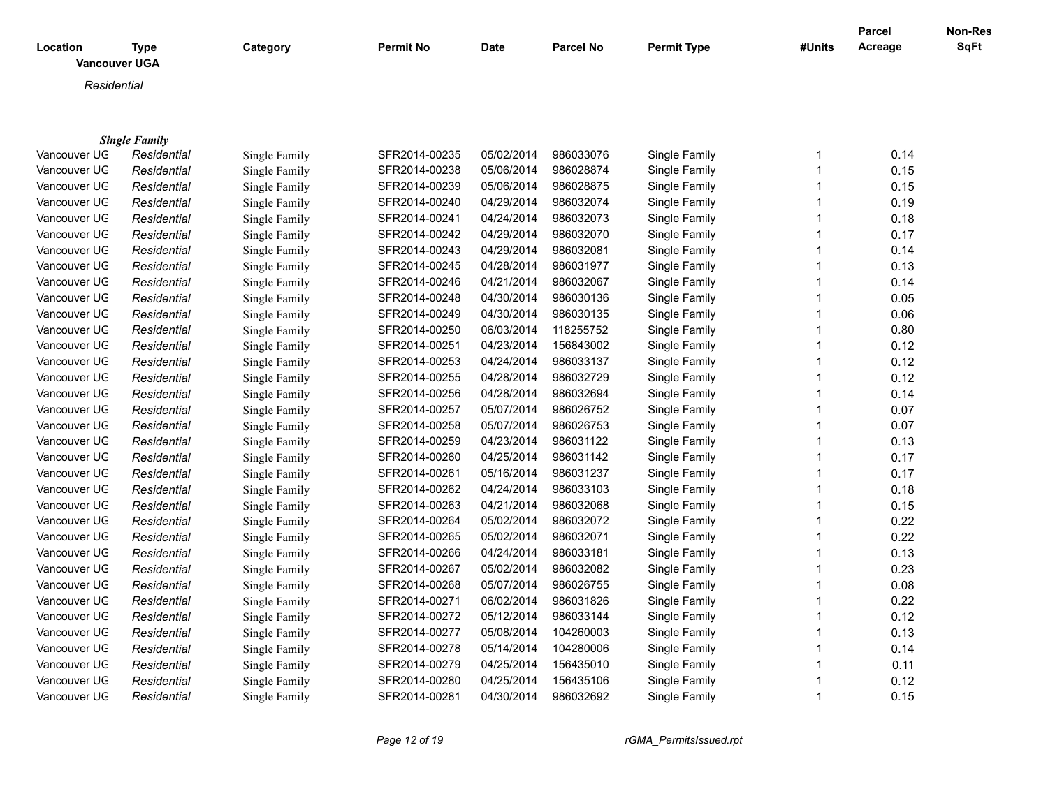| <b>Location</b><br><b>Vancouver UGA</b> | Type                 | Category      | <b>Permit No</b> | Date       | <b>Parcel No</b> | <b>Permit Type</b> | #Units | Parcel<br>Acreage | Non-Res<br>SqFt |
|-----------------------------------------|----------------------|---------------|------------------|------------|------------------|--------------------|--------|-------------------|-----------------|
| Residential                             |                      |               |                  |            |                  |                    |        |                   |                 |
|                                         | <b>Single Family</b> |               |                  |            |                  |                    |        |                   |                 |
| Vancouver UG                            | Residential          | Single Family | SFR2014-00235    | 05/02/2014 | 986033076        | Single Family      |        | 0.14              |                 |
| Vancouver UG                            | Residential          | Single Family | SFR2014-00238    | 05/06/2014 | 986028874        | Single Family      |        | 0.15              |                 |
| Vancouver UG                            | Residential          | Single Family | SFR2014-00239    | 05/06/2014 | 986028875        | Single Family      |        | 0.15              |                 |
| Vancouver UG                            | Residential          | Single Family | SFR2014-00240    | 04/29/2014 | 986032074        | Single Family      |        | 0.19              |                 |
| Vancouver UG                            | Residential          | Single Family | SFR2014-00241    | 04/24/2014 | 986032073        | Single Family      |        | 0.18              |                 |
| Vancouver UG                            | Residential          | Single Family | SFR2014-00242    | 04/29/2014 | 986032070        | Single Family      |        | 0.17              |                 |
| Vancouver UG                            | Residential          | Single Family | SFR2014-00243    | 04/29/2014 | 986032081        | Single Family      |        | 0.14              |                 |
| Vancouver UG                            | Residential          | Single Family | SFR2014-00245    | 04/28/2014 | 986031977        | Single Family      |        | 0.13              |                 |
| Vancouver UG                            | Residential          | Single Family | SFR2014-00246    | 04/21/2014 | 986032067        | Single Family      |        | 0.14              |                 |
| Vancouver UG                            | Residential          | Single Family | SFR2014-00248    | 04/30/2014 | 986030136        | Single Family      |        | 0.05              |                 |

Vancouver UGA *Residential* Single Family SFR2014-00249 04/30/2014 986030135 Single Family 1 0.06 Vancouver UGA *Residential* Single Family SFR2014-00250 06/03/2014 118255752 Single Family 1 0.80 Vancouver UGA *Residential* Single Family SFR2014-00251 04/23/2014 156843002 Single Family 1 0.12 Vancouver UGA *Residential* Single Family SFR2014-00253 04/24/2014 986033137 Single Family 1 0.12 Vancouver UGA *Residential* Single Family SFR2014-00255 04/28/2014 986032729 Single Family 1 0.12 Vancouver UGA *Residential* Single Family SFR2014-00256 04/28/2014 986032694 Single Family 1 0.14 Vancouver UGA *Residential* Single Family SFR2014-00257 05/07/2014 986026752 Single Family 1 0.07 Vancouver UGA *Residential* Single Family SFR2014-00258 05/07/2014 986026753 Single Family 1 0.07 Vancouver UGA *Residential* Single Family SFR2014-00259 04/23/2014 986031122 Single Family 1 0.13 Vancouver UGA *Residential* Single Family SFR2014-00260 04/25/2014 986031142 Single Family 1 0.17 Vancouver UGA *Residential* Single Family SFR2014-00261 05/16/2014 986031237 Single Family 1 0.17 Vancouver UG *Residential* Single Family SFR2014-00262 04/24/2014 986033103 Single Family 1 0.18 Vancouver UGA *Residential* Single Family SFR2014-00263 04/21/2014 986032068 Single Family 1 0.15 Vancouver UGA *Residential* Single Family SFR2014-00264 05/02/2014 986032072 Single Family 1 0.22 Vancouver UGA *Residential* Single Family SFR2014-00265 05/02/2014 986032071 Single Family 1 0.22 Vancouver UGA *Residential* Single Family SFR2014-00266 04/24/2014 986033181 Single Family 1 0.13 Vancouver UGA *Residential* Single Family SFR2014-00267 05/02/2014 986032082 Single Family 1 0.23 Vancouver UGA *Residential* Single Family SFR2014-00268 05/07/2014 986026755 Single Family 1 0.08 Vancouver UGA *Residential* Single Family SFR2014-00271 06/02/2014 986031826 Single Family 1 0.22 Vancouver UGA *Residential* Single Family SFR2014-00272 05/12/2014 986033144 Single Family 1 0.12 Vancouver UG *Residential* Single Family SFR2014-00277 05/08/2014 104260003 Single Family 1 0.13 Vancouver UGA *Residential* Single Family SFR2014-00278 05/14/2014 104280006 Single Family 1 0.14 Vancouver UGA *Residential* Single Family SFR2014-00279 04/25/2014 156435010 Single Family 1 0.11 Vancouver UGA *Residential* Single Family SFR2014-00280 04/25/2014 156435106 Single Family 1 0.12 Vancouver UGA *Residential* Single Family SFR2014-00281 04/30/2014 986032692 Single Family 1 0.15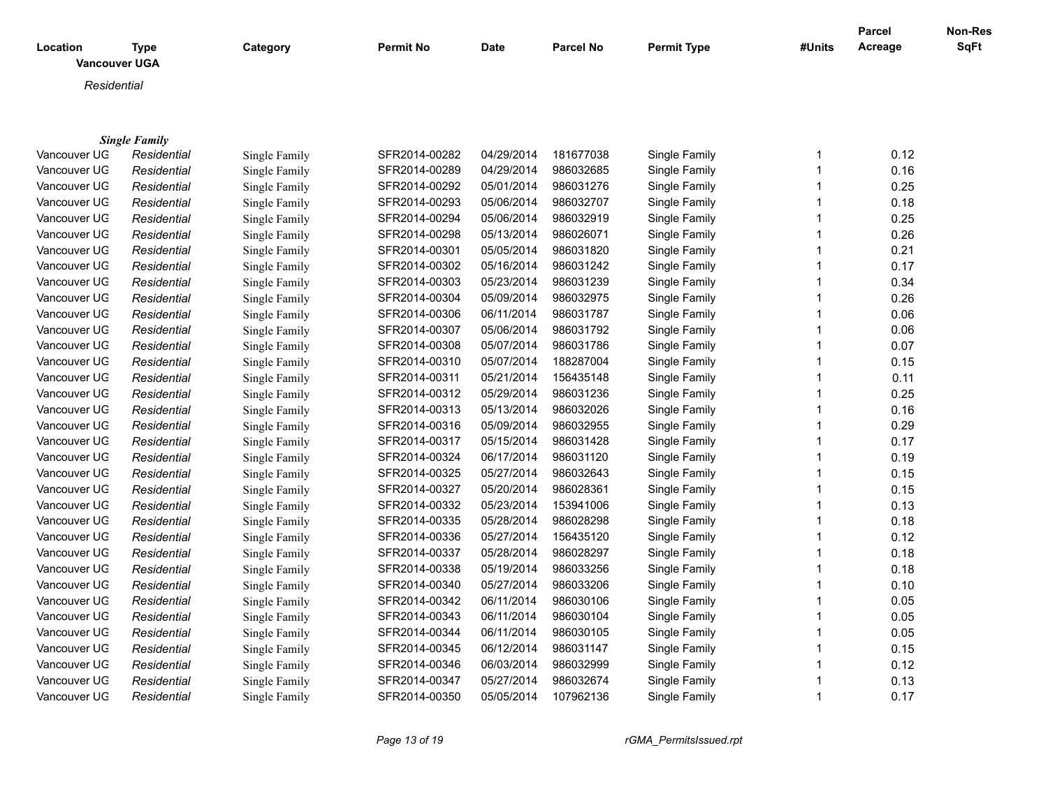| Location     | <b>Type</b>          | Category             | <b>Permit No</b> | <b>Date</b> | <b>Parcel No</b> | <b>Permit Type</b> | #Units       | <b>Parcel</b><br>Acreage | Non-Res<br>SqFt |
|--------------|----------------------|----------------------|------------------|-------------|------------------|--------------------|--------------|--------------------------|-----------------|
|              | <b>Vancouver UGA</b> |                      |                  |             |                  |                    |              |                          |                 |
| Residential  |                      |                      |                  |             |                  |                    |              |                          |                 |
|              |                      |                      |                  |             |                  |                    |              |                          |                 |
|              |                      |                      |                  |             |                  |                    |              |                          |                 |
|              | <b>Single Family</b> |                      |                  |             |                  |                    |              |                          |                 |
| Vancouver UG | Residential          | Single Family        | SFR2014-00282    | 04/29/2014  | 181677038        | Single Family      | 1            | 0.12                     |                 |
| Vancouver UG | Residential          | Single Family        | SFR2014-00289    | 04/29/2014  | 986032685        | Single Family      | 1            | 0.16                     |                 |
| Vancouver UG | Residential          | Single Family        | SFR2014-00292    | 05/01/2014  | 986031276        | Single Family      | 1            | 0.25                     |                 |
| Vancouver UG | Residential          | Single Family        | SFR2014-00293    | 05/06/2014  | 986032707        | Single Family      | 1            | 0.18                     |                 |
| Vancouver UG | Residential          | <b>Single Family</b> | SFR2014-00294    | 05/06/2014  | 986032919        | Single Family      | 1            | 0.25                     |                 |
| Vancouver UG | Residential          | Single Family        | SFR2014-00298    | 05/13/2014  | 986026071        | Single Family      | 1            | 0.26                     |                 |
| Vancouver UG | Residential          | Single Family        | SFR2014-00301    | 05/05/2014  | 986031820        | Single Family      | 1            | 0.21                     |                 |
| Vancouver UG | Residential          | Single Family        | SFR2014-00302    | 05/16/2014  | 986031242        | Single Family      | 1            | 0.17                     |                 |
| Vancouver UG | Residential          | Single Family        | SFR2014-00303    | 05/23/2014  | 986031239        | Single Family      | $\mathbf 1$  | 0.34                     |                 |
| Vancouver UG | Residential          | Single Family        | SFR2014-00304    | 05/09/2014  | 986032975        | Single Family      | 1            | 0.26                     |                 |
| Vancouver UG | Residential          | Single Family        | SFR2014-00306    | 06/11/2014  | 986031787        | Single Family      | 1            | 0.06                     |                 |
| Vancouver UG | Residential          | Single Family        | SFR2014-00307    | 05/06/2014  | 986031792        | Single Family      | 1            | 0.06                     |                 |
| Vancouver UG | Residential          | Single Family        | SFR2014-00308    | 05/07/2014  | 986031786        | Single Family      | 1            | 0.07                     |                 |
| Vancouver UG | Residential          | Single Family        | SFR2014-00310    | 05/07/2014  | 188287004        | Single Family      | 1            | 0.15                     |                 |
| Vancouver UG | Residential          | Single Family        | SFR2014-00311    | 05/21/2014  | 156435148        | Single Family      | 1            | 0.11                     |                 |
| Vancouver UG | Residential          | Single Family        | SFR2014-00312    | 05/29/2014  | 986031236        | Single Family      | 1            | 0.25                     |                 |
| Vancouver UG | Residential          | Single Family        | SFR2014-00313    | 05/13/2014  | 986032026        | Single Family      | 1            | 0.16                     |                 |
| Vancouver UG | Residential          | Single Family        | SFR2014-00316    | 05/09/2014  | 986032955        | Single Family      | 1            | 0.29                     |                 |
| Vancouver UG | Residential          | Single Family        | SFR2014-00317    | 05/15/2014  | 986031428        | Single Family      | 1            | 0.17                     |                 |
| Vancouver UG | Residential          | Single Family        | SFR2014-00324    | 06/17/2014  | 986031120        | Single Family      | 1            | 0.19                     |                 |
| Vancouver UG | Residential          | Single Family        | SFR2014-00325    | 05/27/2014  | 986032643        | Single Family      | 1            | 0.15                     |                 |
| Vancouver UG | Residential          | Single Family        | SFR2014-00327    | 05/20/2014  | 986028361        | Single Family      | 1            | 0.15                     |                 |
| Vancouver UG | Residential          | Single Family        | SFR2014-00332    | 05/23/2014  | 153941006        | Single Family      | 1            | 0.13                     |                 |
| Vancouver UG | Residential          | Single Family        | SFR2014-00335    | 05/28/2014  | 986028298        | Single Family      | 1            | 0.18                     |                 |
| Vancouver UG | Residential          | Single Family        | SFR2014-00336    | 05/27/2014  | 156435120        | Single Family      | 1            | 0.12                     |                 |
| Vancouver UG | Residential          | Single Family        | SFR2014-00337    | 05/28/2014  | 986028297        | Single Family      | 1            | 0.18                     |                 |
| Vancouver UG | Residential          | Single Family        | SFR2014-00338    | 05/19/2014  | 986033256        | Single Family      | 1            | 0.18                     |                 |
| Vancouver UG | Residential          | Single Family        | SFR2014-00340    | 05/27/2014  | 986033206        | Single Family      | $\mathbf{1}$ | 0.10                     |                 |
| Vancouver UG | Residential          | Single Family        | SFR2014-00342    | 06/11/2014  | 986030106        | Single Family      | 1            | 0.05                     |                 |
| Vancouver UG | Residential          | Single Family        | SFR2014-00343    | 06/11/2014  | 986030104        | Single Family      | 1            | 0.05                     |                 |
| Vancouver UG | Residential          | Single Family        | SFR2014-00344    | 06/11/2014  | 986030105        | Single Family      | 1            | 0.05                     |                 |
| Vancouver UG | Residential          | Single Family        | SFR2014-00345    | 06/12/2014  | 986031147        | Single Family      | 1            | 0.15                     |                 |
| Vancouver UG | Residential          | Single Family        | SFR2014-00346    | 06/03/2014  | 986032999        | Single Family      | 1            | 0.12                     |                 |
| Vancouver UG | Residential          | Single Family        | SFR2014-00347    | 05/27/2014  | 986032674        | Single Family      | 1            | 0.13                     |                 |
| Vancouver UG | Residential          | Single Family        | SFR2014-00350    | 05/05/2014  | 107962136        | Single Family      | $\mathbf 1$  | 0.17                     |                 |

*Page 13 of 19 rGMA\_PermitsIssued.rpt*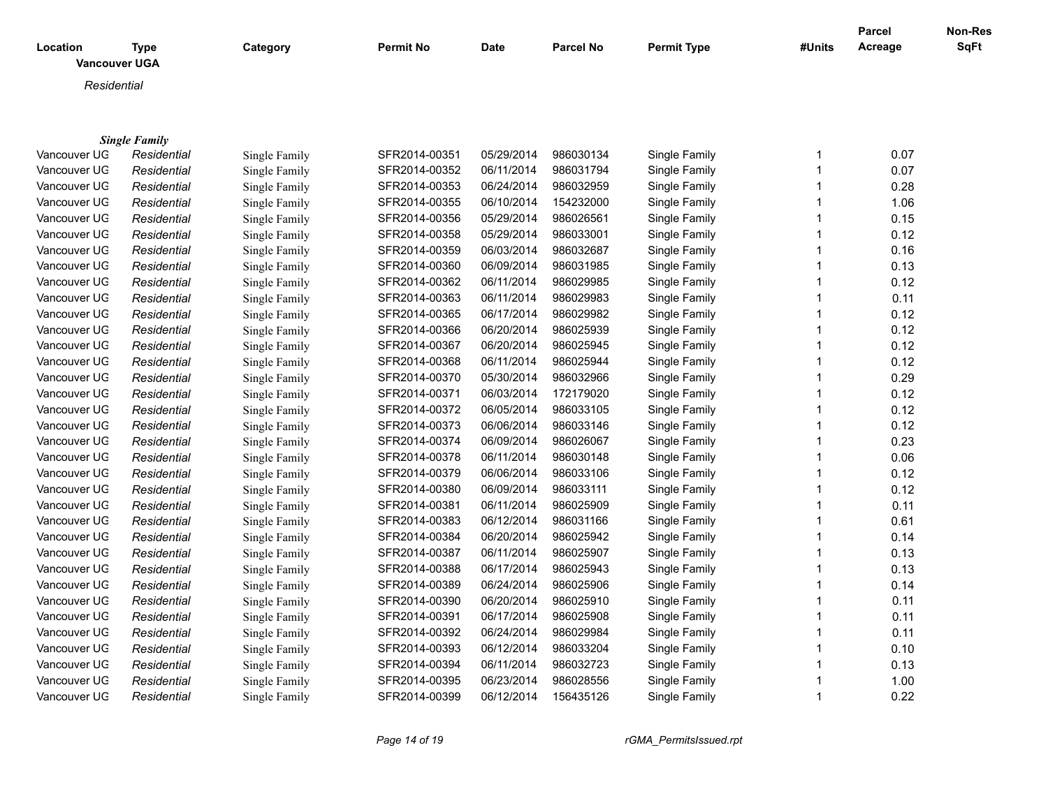| <b>Vancouver UGA</b><br>Residential<br><b>Single Family</b><br>Vancouver UG<br>SFR2014-00351<br>05/29/2014<br>986030134<br>Single Family<br>0.07<br>Residential<br>Single Family<br>$\mathbf 1$<br>0.07<br>Vancouver UG<br>SFR2014-00352<br>06/11/2014<br>986031794<br>Single Family<br>$\mathbf 1$<br>Residential<br>Single Family<br>0.28<br>Vancouver UG<br>SFR2014-00353<br>06/24/2014<br>986032959<br>Single Family<br>Residential<br>Single Family<br>1<br>154232000<br>1.06<br>Vancouver UG<br>SFR2014-00355<br>06/10/2014<br>Single Family<br>Residential<br>Single Family<br>0.15<br>Vancouver UG<br>SFR2014-00356<br>05/29/2014<br>986026561<br>Single Family<br>Residential<br>Single Family<br>1<br>05/29/2014<br>986033001<br>Vancouver UG<br>SFR2014-00358<br>Single Family<br>0.12<br>Residential<br>Single Family<br>06/03/2014<br>986032687<br>0.16<br>Vancouver UG<br>Residential<br>SFR2014-00359<br>Single Family<br>Single Family<br>0.13<br>06/09/2014<br>986031985<br>Vancouver UG<br>SFR2014-00360<br>Single Family<br>Residential<br>Single Family<br>06/11/2014<br>986029985<br>0.12<br>Vancouver UG<br>Residential<br>Single Family<br>SFR2014-00362<br>Single Family<br>1<br>986029983<br>0.11<br>Vancouver UG<br>Residential<br>SFR2014-00363<br>06/11/2014<br>Single Family<br>Single Family<br>1 |
|---------------------------------------------------------------------------------------------------------------------------------------------------------------------------------------------------------------------------------------------------------------------------------------------------------------------------------------------------------------------------------------------------------------------------------------------------------------------------------------------------------------------------------------------------------------------------------------------------------------------------------------------------------------------------------------------------------------------------------------------------------------------------------------------------------------------------------------------------------------------------------------------------------------------------------------------------------------------------------------------------------------------------------------------------------------------------------------------------------------------------------------------------------------------------------------------------------------------------------------------------------------------------------------------------------------------------------|
|                                                                                                                                                                                                                                                                                                                                                                                                                                                                                                                                                                                                                                                                                                                                                                                                                                                                                                                                                                                                                                                                                                                                                                                                                                                                                                                                 |
|                                                                                                                                                                                                                                                                                                                                                                                                                                                                                                                                                                                                                                                                                                                                                                                                                                                                                                                                                                                                                                                                                                                                                                                                                                                                                                                                 |
|                                                                                                                                                                                                                                                                                                                                                                                                                                                                                                                                                                                                                                                                                                                                                                                                                                                                                                                                                                                                                                                                                                                                                                                                                                                                                                                                 |
|                                                                                                                                                                                                                                                                                                                                                                                                                                                                                                                                                                                                                                                                                                                                                                                                                                                                                                                                                                                                                                                                                                                                                                                                                                                                                                                                 |
|                                                                                                                                                                                                                                                                                                                                                                                                                                                                                                                                                                                                                                                                                                                                                                                                                                                                                                                                                                                                                                                                                                                                                                                                                                                                                                                                 |
|                                                                                                                                                                                                                                                                                                                                                                                                                                                                                                                                                                                                                                                                                                                                                                                                                                                                                                                                                                                                                                                                                                                                                                                                                                                                                                                                 |
|                                                                                                                                                                                                                                                                                                                                                                                                                                                                                                                                                                                                                                                                                                                                                                                                                                                                                                                                                                                                                                                                                                                                                                                                                                                                                                                                 |
|                                                                                                                                                                                                                                                                                                                                                                                                                                                                                                                                                                                                                                                                                                                                                                                                                                                                                                                                                                                                                                                                                                                                                                                                                                                                                                                                 |
|                                                                                                                                                                                                                                                                                                                                                                                                                                                                                                                                                                                                                                                                                                                                                                                                                                                                                                                                                                                                                                                                                                                                                                                                                                                                                                                                 |
|                                                                                                                                                                                                                                                                                                                                                                                                                                                                                                                                                                                                                                                                                                                                                                                                                                                                                                                                                                                                                                                                                                                                                                                                                                                                                                                                 |
|                                                                                                                                                                                                                                                                                                                                                                                                                                                                                                                                                                                                                                                                                                                                                                                                                                                                                                                                                                                                                                                                                                                                                                                                                                                                                                                                 |
|                                                                                                                                                                                                                                                                                                                                                                                                                                                                                                                                                                                                                                                                                                                                                                                                                                                                                                                                                                                                                                                                                                                                                                                                                                                                                                                                 |
|                                                                                                                                                                                                                                                                                                                                                                                                                                                                                                                                                                                                                                                                                                                                                                                                                                                                                                                                                                                                                                                                                                                                                                                                                                                                                                                                 |
|                                                                                                                                                                                                                                                                                                                                                                                                                                                                                                                                                                                                                                                                                                                                                                                                                                                                                                                                                                                                                                                                                                                                                                                                                                                                                                                                 |
| SFR2014-00365<br>06/17/2014<br>986029982<br>0.12<br>Vancouver UG<br>Residential<br>Single Family<br>Single Family                                                                                                                                                                                                                                                                                                                                                                                                                                                                                                                                                                                                                                                                                                                                                                                                                                                                                                                                                                                                                                                                                                                                                                                                               |
| 06/20/2014<br>986025939<br>0.12<br>Vancouver UG<br>Residential<br>SFR2014-00366<br>Single Family<br>Single Family<br>1                                                                                                                                                                                                                                                                                                                                                                                                                                                                                                                                                                                                                                                                                                                                                                                                                                                                                                                                                                                                                                                                                                                                                                                                          |
| 06/20/2014<br>986025945<br>0.12<br>Vancouver UG<br>SFR2014-00367<br>Single Family<br>$\mathbf 1$<br>Residential<br>Single Family                                                                                                                                                                                                                                                                                                                                                                                                                                                                                                                                                                                                                                                                                                                                                                                                                                                                                                                                                                                                                                                                                                                                                                                                |
| 06/11/2014<br>986025944<br>Vancouver UG<br>SFR2014-00368<br>Single Family<br>1<br>0.12<br>Residential<br>Single Family                                                                                                                                                                                                                                                                                                                                                                                                                                                                                                                                                                                                                                                                                                                                                                                                                                                                                                                                                                                                                                                                                                                                                                                                          |
| 0.29<br>Vancouver UG<br>SFR2014-00370<br>05/30/2014<br>986032966<br>Single Family<br>Residential<br>1<br>Single Family                                                                                                                                                                                                                                                                                                                                                                                                                                                                                                                                                                                                                                                                                                                                                                                                                                                                                                                                                                                                                                                                                                                                                                                                          |
| 0.12<br>Vancouver UG<br>06/03/2014<br>172179020<br>Residential<br>Single Family<br>SFR2014-00371<br>Single Family                                                                                                                                                                                                                                                                                                                                                                                                                                                                                                                                                                                                                                                                                                                                                                                                                                                                                                                                                                                                                                                                                                                                                                                                               |
| 0.12<br>Vancouver UG<br>SFR2014-00372<br>06/05/2014<br>986033105<br>Residential<br>Single Family<br>Single Family                                                                                                                                                                                                                                                                                                                                                                                                                                                                                                                                                                                                                                                                                                                                                                                                                                                                                                                                                                                                                                                                                                                                                                                                               |
| 0.12<br>Vancouver UG<br>SFR2014-00373<br>06/06/2014<br>986033146<br>Single Family<br>Residential<br>Single Family<br>1                                                                                                                                                                                                                                                                                                                                                                                                                                                                                                                                                                                                                                                                                                                                                                                                                                                                                                                                                                                                                                                                                                                                                                                                          |
| 0.23<br>Vancouver UG<br>SFR2014-00374<br>06/09/2014<br>986026067<br>Single Family<br>Residential<br>Single Family                                                                                                                                                                                                                                                                                                                                                                                                                                                                                                                                                                                                                                                                                                                                                                                                                                                                                                                                                                                                                                                                                                                                                                                                               |
| 0.06<br>Vancouver UG<br>06/11/2014<br>986030148<br>Single Family<br>Residential<br>SFR2014-00378<br>Single Family                                                                                                                                                                                                                                                                                                                                                                                                                                                                                                                                                                                                                                                                                                                                                                                                                                                                                                                                                                                                                                                                                                                                                                                                               |
| Vancouver UG<br>SFR2014-00379<br>06/06/2014<br>986033106<br>Single Family<br>0.12<br>Residential<br>Single Family                                                                                                                                                                                                                                                                                                                                                                                                                                                                                                                                                                                                                                                                                                                                                                                                                                                                                                                                                                                                                                                                                                                                                                                                               |
| 0.12<br>Vancouver UG<br>SFR2014-00380<br>06/09/2014<br>986033111<br>Single Family<br>Residential<br>Single Family<br>1                                                                                                                                                                                                                                                                                                                                                                                                                                                                                                                                                                                                                                                                                                                                                                                                                                                                                                                                                                                                                                                                                                                                                                                                          |
| 06/11/2014<br>986025909<br>0.11<br>Vancouver UG<br>SFR2014-00381<br>Single Family<br>1<br>Residential<br>Single Family                                                                                                                                                                                                                                                                                                                                                                                                                                                                                                                                                                                                                                                                                                                                                                                                                                                                                                                                                                                                                                                                                                                                                                                                          |
| 0.61<br>Vancouver UG<br>SFR2014-00383<br>06/12/2014<br>986031166<br>Single Family<br>1<br>Residential<br>Single Family                                                                                                                                                                                                                                                                                                                                                                                                                                                                                                                                                                                                                                                                                                                                                                                                                                                                                                                                                                                                                                                                                                                                                                                                          |
| 06/20/2014<br>986025942<br>0.14<br>Vancouver UG<br>SFR2014-00384<br>Single Family<br>1<br>Residential<br>Single Family                                                                                                                                                                                                                                                                                                                                                                                                                                                                                                                                                                                                                                                                                                                                                                                                                                                                                                                                                                                                                                                                                                                                                                                                          |
| 06/11/2014<br>0.13<br>Vancouver UG<br>SFR2014-00387<br>986025907<br>Single Family<br>$\mathbf 1$<br>Residential<br>Single Family                                                                                                                                                                                                                                                                                                                                                                                                                                                                                                                                                                                                                                                                                                                                                                                                                                                                                                                                                                                                                                                                                                                                                                                                |
| 06/17/2014<br>986025943<br>0.13<br>Vancouver UG<br>Residential<br>SFR2014-00388<br>Single Family<br>1<br>Single Family                                                                                                                                                                                                                                                                                                                                                                                                                                                                                                                                                                                                                                                                                                                                                                                                                                                                                                                                                                                                                                                                                                                                                                                                          |
| 06/24/2014<br>986025906<br>Vancouver UG<br>SFR2014-00389<br>Single Family<br>0.14<br>Residential<br>Single Family<br>1                                                                                                                                                                                                                                                                                                                                                                                                                                                                                                                                                                                                                                                                                                                                                                                                                                                                                                                                                                                                                                                                                                                                                                                                          |
| 06/20/2014<br>986025910<br>Vancouver UG<br>SFR2014-00390<br>Single Family<br>0.11<br>Residential<br>Single Family                                                                                                                                                                                                                                                                                                                                                                                                                                                                                                                                                                                                                                                                                                                                                                                                                                                                                                                                                                                                                                                                                                                                                                                                               |
| SFR2014-00391<br>06/17/2014<br>986025908<br>Single Family<br>0.11<br>Vancouver UG<br>Residential<br>Single Family<br>1                                                                                                                                                                                                                                                                                                                                                                                                                                                                                                                                                                                                                                                                                                                                                                                                                                                                                                                                                                                                                                                                                                                                                                                                          |
| 06/24/2014<br>986029984<br>Single Family<br>0.11<br>Vancouver UG<br>Residential<br>SFR2014-00392<br>Single Family                                                                                                                                                                                                                                                                                                                                                                                                                                                                                                                                                                                                                                                                                                                                                                                                                                                                                                                                                                                                                                                                                                                                                                                                               |
| SFR2014-00393<br>06/12/2014<br>986033204<br>0.10<br>Vancouver UG<br>Single Family<br>1<br>Residential<br>Single Family                                                                                                                                                                                                                                                                                                                                                                                                                                                                                                                                                                                                                                                                                                                                                                                                                                                                                                                                                                                                                                                                                                                                                                                                          |

Vancouver UGA *Residential* Single Family SFR2014-00394 06/11/2014 986032723 Single Family 1 0.13 Vancouver UG *Residential* Single Family SFR2014-00395 06/23/2014 986028556 Single Family 1 1.00<br>Vancouver UG *Residential* Single Family SFR2014-00399 06/12/2014 156435126 Single Family 1 1 0.22

Residential Single Family SFR2014-00399 06/12/2014 156435126 Single Family 1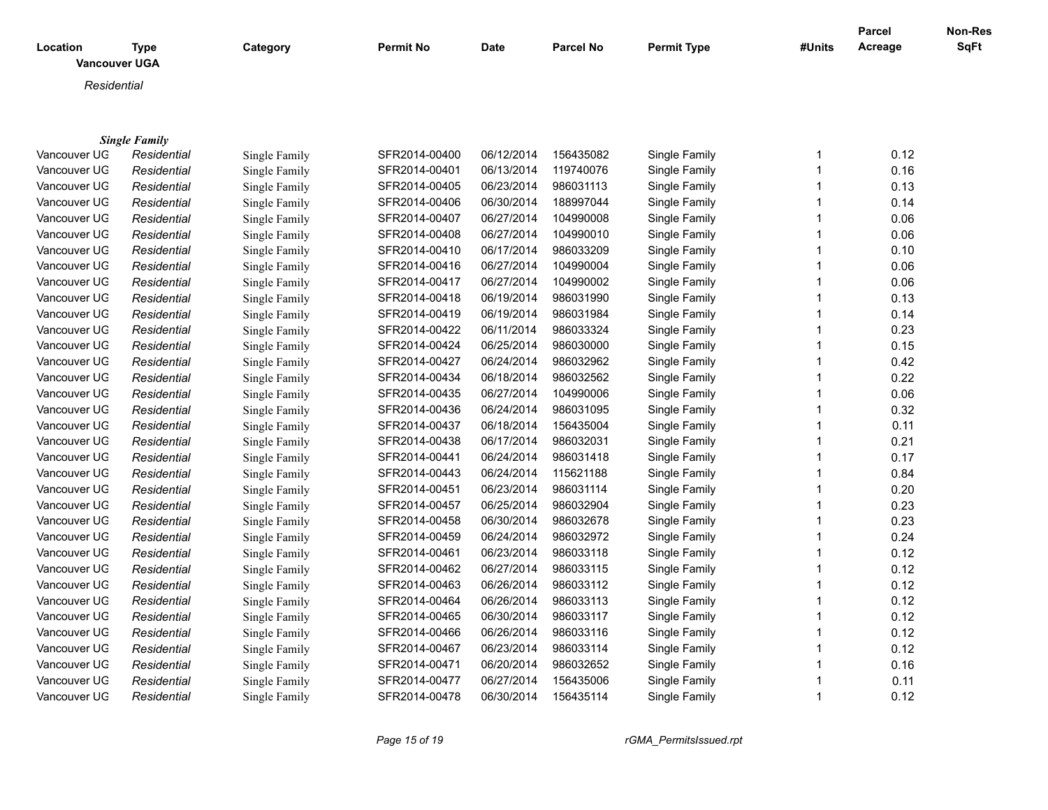|              |                                     |               |                  |             |                  |                    |                | <b>Parcel</b> | Non-Res |
|--------------|-------------------------------------|---------------|------------------|-------------|------------------|--------------------|----------------|---------------|---------|
| Location     | <b>Type</b><br><b>Vancouver UGA</b> | Category      | <b>Permit No</b> | <b>Date</b> | <b>Parcel No</b> | <b>Permit Type</b> | #Units         | Acreage       | SqFt    |
|              |                                     |               |                  |             |                  |                    |                |               |         |
|              | Residential                         |               |                  |             |                  |                    |                |               |         |
|              |                                     |               |                  |             |                  |                    |                |               |         |
|              |                                     |               |                  |             |                  |                    |                |               |         |
|              | <b>Single Family</b>                |               |                  |             |                  |                    |                |               |         |
| Vancouver UG | Residential                         | Single Family | SFR2014-00400    | 06/12/2014  | 156435082        | Single Family      | $\mathbf 1$    | 0.12          |         |
| Vancouver UG | Residential                         | Single Family | SFR2014-00401    | 06/13/2014  | 119740076        | Single Family      | $\overline{1}$ | 0.16          |         |
| Vancouver UG | Residential                         | Single Family | SFR2014-00405    | 06/23/2014  | 986031113        | Single Family      | 1              | 0.13          |         |
| Vancouver UG | Residential                         | Single Family | SFR2014-00406    | 06/30/2014  | 188997044        | Single Family      | 1              | 0.14          |         |
| Vancouver UG | Residential                         | Single Family | SFR2014-00407    | 06/27/2014  | 104990008        | Single Family      | 1              | 0.06          |         |
| Vancouver UG | Residential                         | Single Family | SFR2014-00408    | 06/27/2014  | 104990010        | Single Family      | 1              | 0.06          |         |
| Vancouver UG | Residential                         | Single Family | SFR2014-00410    | 06/17/2014  | 986033209        | Single Family      | $\overline{1}$ | 0.10          |         |
| Vancouver UG | Residential                         | Single Family | SFR2014-00416    | 06/27/2014  | 104990004        | Single Family      | $\mathbf 1$    | 0.06          |         |
| Vancouver UG | Residential                         | Single Family | SFR2014-00417    | 06/27/2014  | 104990002        | Single Family      | $\overline{1}$ | 0.06          |         |
| Vancouver UG | Residential                         | Single Family | SFR2014-00418    | 06/19/2014  | 986031990        | Single Family      | $\overline{1}$ | 0.13          |         |
| Vancouver UG | Residential                         | Single Family | SFR2014-00419    | 06/19/2014  | 986031984        | Single Family      | $\overline{1}$ | 0.14          |         |
| Vancouver UG | Residential                         | Single Family | SFR2014-00422    | 06/11/2014  | 986033324        | Single Family      | 1              | 0.23          |         |
| Vancouver UG | Residential                         | Single Family | SFR2014-00424    | 06/25/2014  | 986030000        | Single Family      | $\mathbf 1$    | 0.15          |         |
| Vancouver UG | Residential                         | Single Family | SFR2014-00427    | 06/24/2014  | 986032962        | Single Family      | 1              | 0.42          |         |
| Vancouver UG | Residential                         | Single Family | SFR2014-00434    | 06/18/2014  | 986032562        | Single Family      | 1              | 0.22          |         |
| Vancouver UG | Residential                         | Single Family | SFR2014-00435    | 06/27/2014  | 104990006        | Single Family      | 1              | 0.06          |         |
| Vancouver UG | Residential                         | Single Family | SFR2014-00436    | 06/24/2014  | 986031095        | Single Family      | 1              | 0.32          |         |
| Vancouver UG | Residential                         | Single Family | SFR2014-00437    | 06/18/2014  | 156435004        | Single Family      | 1              | 0.11          |         |
| Vancouver UG | Residential                         | Single Family | SFR2014-00438    | 06/17/2014  | 986032031        | Single Family      | 1              | 0.21          |         |
| Vancouver UG | Residential                         | Single Family | SFR2014-00441    | 06/24/2014  | 986031418        | Single Family      | $\mathbf 1$    | 0.17          |         |
| Vancouver UG | Residential                         | Single Family | SFR2014-00443    | 06/24/2014  | 115621188        | Single Family      | $\mathbf 1$    | 0.84          |         |
| Vancouver UG | Residential                         | Single Family | SFR2014-00451    | 06/23/2014  | 986031114        | Single Family      | $\mathbf 1$    | 0.20          |         |
| Vancouver UG | Residential                         | Single Family | SFR2014-00457    | 06/25/2014  | 986032904        | Single Family      | 1              | 0.23          |         |
| Vancouver UG | Residential                         | Single Family | SFR2014-00458    | 06/30/2014  | 986032678        | Single Family      | 1              | 0.23          |         |
| Vancouver UG | Residential                         | Single Family | SFR2014-00459    | 06/24/2014  | 986032972        | Single Family      | 1              | 0.24          |         |
| Vancouver UG | Residential                         | Single Family | SFR2014-00461    | 06/23/2014  | 986033118        | Single Family      | $\overline{1}$ | 0.12          |         |
| Vancouver UG | Residential                         | Single Family | SFR2014-00462    | 06/27/2014  | 986033115        | Single Family      | $\overline{1}$ | 0.12          |         |
| Vancouver UG | Residential                         | Single Family | SFR2014-00463    | 06/26/2014  | 986033112        | Single Family      | $\overline{1}$ | 0.12          |         |
| Vancouver UG | Residential                         | Single Family | SFR2014-00464    | 06/26/2014  | 986033113        | Single Family      | $\overline{1}$ | 0.12          |         |
| Vancouver UG | Residential                         | Single Family | SFR2014-00465    | 06/30/2014  | 986033117        | Single Family      | 1              | 0.12          |         |
| Vancouver UG | Residential                         | Single Family | SFR2014-00466    | 06/26/2014  | 986033116        | Single Family      | 1              | 0.12          |         |
| Vancouver UG | Residential                         | Single Family | SFR2014-00467    | 06/23/2014  | 986033114        | Single Family      | 1              | 0.12          |         |
| Vancouver UG | Residential                         | Single Family | SFR2014-00471    | 06/20/2014  | 986032652        | Single Family      | $\mathbf 1$    | 0.16          |         |
| Vancouver UG | Residential                         | Single Family | SFR2014-00477    | 06/27/2014  | 156435006        | Single Family      |                | 0.11          |         |
| Vancouver UG | Residential                         | Single Family | SFR2014-00478    | 06/30/2014  | 156435114        | Single Family      | 1              | 0.12          |         |
|              |                                     |               |                  |             |                  |                    |                |               |         |

*Page 15 of 19 rGMA\_PermitsIssued.rpt*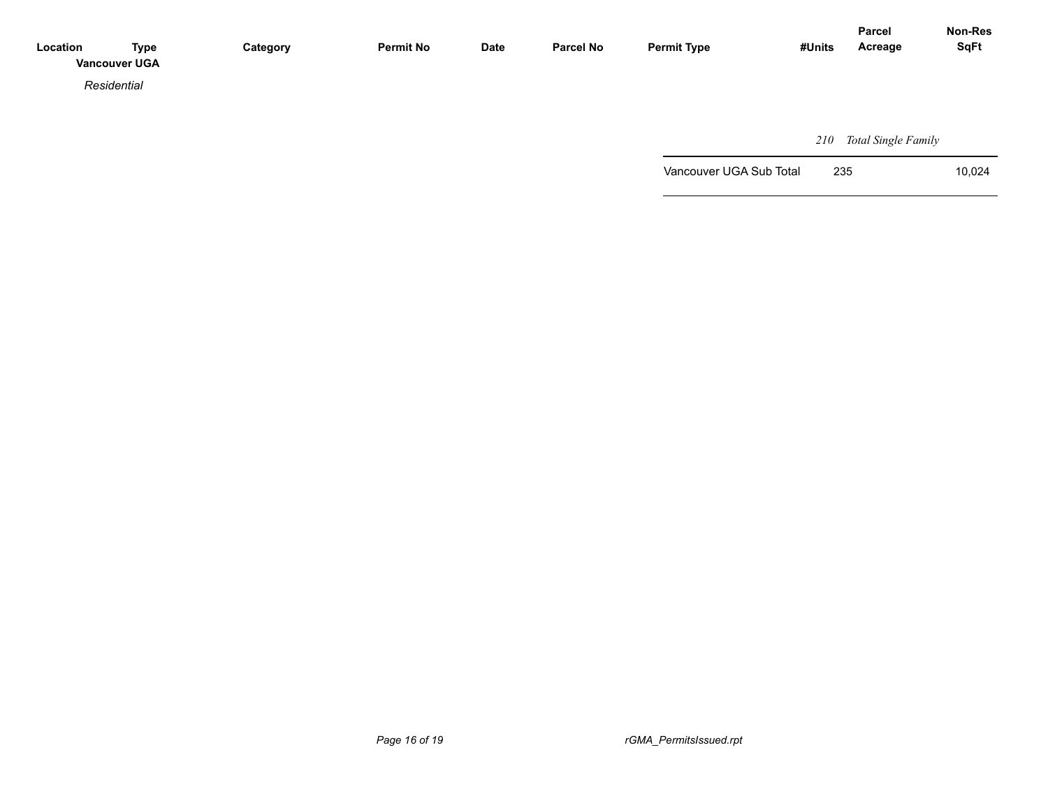| Location | <b>Type</b><br><b>Vancouver UGA</b> | Category | <b>Permit No</b> | <b>Date</b> | <b>Parcel No</b> | <b>Permit Type</b> | #Units | <b>Parcel</b><br>Acreage | Non-Res<br><b>SqFt</b> |
|----------|-------------------------------------|----------|------------------|-------------|------------------|--------------------|--------|--------------------------|------------------------|
|          | Residential                         |          |                  |             |                  |                    |        |                          |                        |
|          |                                     |          |                  |             |                  |                    |        |                          |                        |
|          |                                     |          |                  |             |                  |                    |        | $210 - T + 10 + T - T$   |                        |

 *210 Total Single Family*

Vancouver UGA Sub Total 235 10,024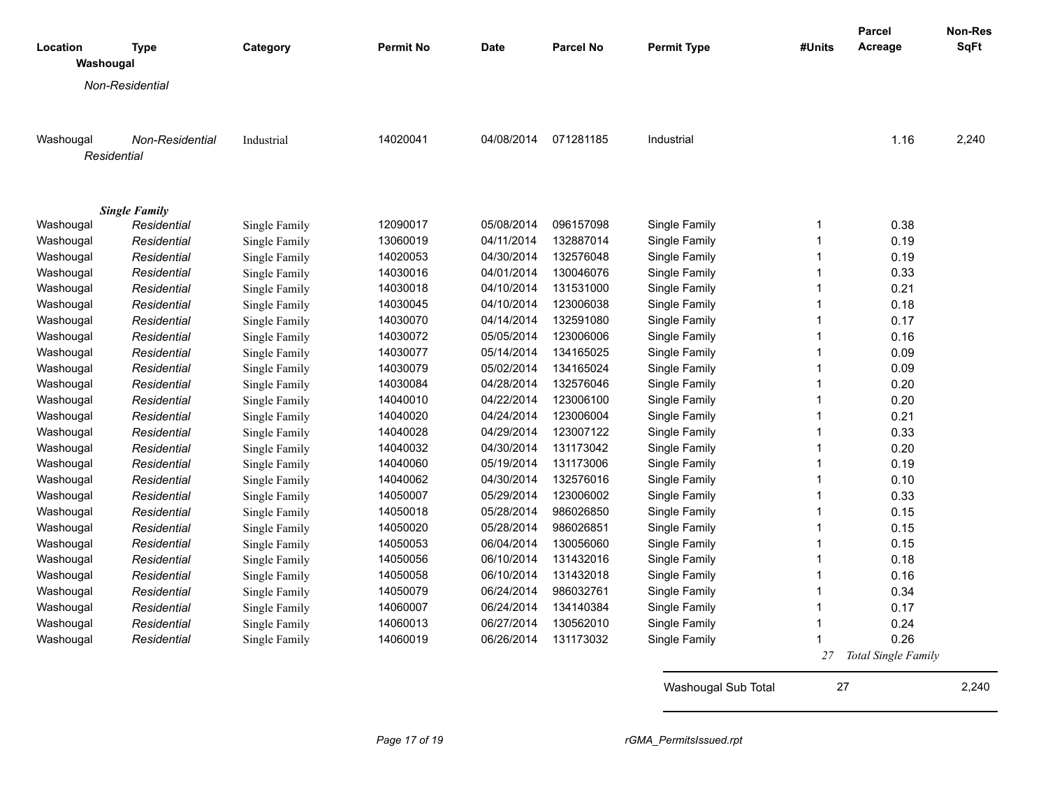|                       |                                     |               |                  |             |                  |                    |        | Parcel              | Non-Res<br><b>SqFt</b> |
|-----------------------|-------------------------------------|---------------|------------------|-------------|------------------|--------------------|--------|---------------------|------------------------|
| Location<br>Washougal | <b>Type</b>                         | Category      | <b>Permit No</b> | <b>Date</b> | <b>Parcel No</b> | <b>Permit Type</b> | #Units | Acreage             |                        |
|                       | Non-Residential                     |               |                  |             |                  |                    |        |                     |                        |
|                       |                                     |               |                  |             |                  |                    |        |                     |                        |
|                       |                                     |               |                  |             |                  |                    |        |                     |                        |
| Washougal             | Non-Residential                     | Industrial    | 14020041         | 04/08/2014  | 071281185        | Industrial         |        | 1.16                | 2,240                  |
|                       | Residential                         |               |                  |             |                  |                    |        |                     |                        |
|                       |                                     |               |                  |             |                  |                    |        |                     |                        |
|                       |                                     |               |                  |             |                  |                    |        |                     |                        |
| Washougal             | <b>Single Family</b><br>Residential | Single Family | 12090017         | 05/08/2014  | 096157098        | Single Family      |        | 0.38                |                        |
| Washougal             | Residential                         | Single Family | 13060019         | 04/11/2014  | 132887014        | Single Family      |        | 0.19                |                        |
| Washougal             | Residential                         | Single Family | 14020053         | 04/30/2014  | 132576048        | Single Family      |        | 0.19                |                        |
| Washougal             | Residential                         | Single Family | 14030016         | 04/01/2014  | 130046076        | Single Family      |        | 0.33                |                        |
| Washougal             | Residential                         | Single Family | 14030018         | 04/10/2014  | 131531000        | Single Family      |        | 0.21                |                        |
| Washougal             | Residential                         | Single Family | 14030045         | 04/10/2014  | 123006038        | Single Family      |        | 0.18                |                        |
| Washougal             | Residential                         | Single Family | 14030070         | 04/14/2014  | 132591080        | Single Family      | -1     | 0.17                |                        |
| Washougal             | Residential                         | Single Family | 14030072         | 05/05/2014  | 123006006        | Single Family      |        | 0.16                |                        |
| Washougal             | Residential                         | Single Family | 14030077         | 05/14/2014  | 134165025        | Single Family      |        | 0.09                |                        |
| Washougal             | Residential                         | Single Family | 14030079         | 05/02/2014  | 134165024        | Single Family      |        | 0.09                |                        |
| Washougal             | Residential                         | Single Family | 14030084         | 04/28/2014  | 132576046        | Single Family      |        | 0.20                |                        |
| Washougal             | Residential                         | Single Family | 14040010         | 04/22/2014  | 123006100        | Single Family      |        | 0.20                |                        |
| Washougal             | Residential                         | Single Family | 14040020         | 04/24/2014  | 123006004        | Single Family      | -1     | 0.21                |                        |
| Washougal             | Residential                         | Single Family | 14040028         | 04/29/2014  | 123007122        | Single Family      |        | 0.33                |                        |
| Washougal             | Residential                         | Single Family | 14040032         | 04/30/2014  | 131173042        | Single Family      |        | 0.20                |                        |
| Washougal             | Residential                         | Single Family | 14040060         | 05/19/2014  | 131173006        | Single Family      |        | 0.19                |                        |
| Washougal             | Residential                         | Single Family | 14040062         | 04/30/2014  | 132576016        | Single Family      |        | 0.10                |                        |
| Washougal             | Residential                         | Single Family | 14050007         | 05/29/2014  | 123006002        | Single Family      |        | 0.33                |                        |
| Washougal             | Residential                         | Single Family | 14050018         | 05/28/2014  | 986026850        | Single Family      |        | 0.15                |                        |
| Washougal             | Residential                         | Single Family | 14050020         | 05/28/2014  | 986026851        | Single Family      |        | 0.15                |                        |
| Washougal             | Residential                         | Single Family | 14050053         | 06/04/2014  | 130056060        | Single Family      |        | 0.15                |                        |
| Washougal             | Residential                         | Single Family | 14050056         | 06/10/2014  | 131432016        | Single Family      |        | 0.18                |                        |
| Washougal             | Residential                         | Single Family | 14050058         | 06/10/2014  | 131432018        | Single Family      |        | 0.16                |                        |
| Washougal             | Residential                         | Single Family | 14050079         | 06/24/2014  | 986032761        | Single Family      | -1     | 0.34                |                        |
| Washougal             | Residential                         | Single Family | 14060007         | 06/24/2014  | 134140384        | Single Family      |        | 0.17                |                        |
| Washougal             | Residential                         | Single Family | 14060013         | 06/27/2014  | 130562010        | Single Family      |        | 0.24                |                        |
| Washougal             | Residential                         | Single Family | 14060019         | 06/26/2014  | 131173032        | Single Family      |        | 0.26                |                        |
|                       |                                     |               |                  |             |                  |                    | 27     | Total Single Family |                        |
|                       |                                     |               |                  |             |                  |                    |        |                     |                        |

Washougal Sub Total 27 2,240

*Page 17 of 19 rGMA\_PermitsIssued.rpt*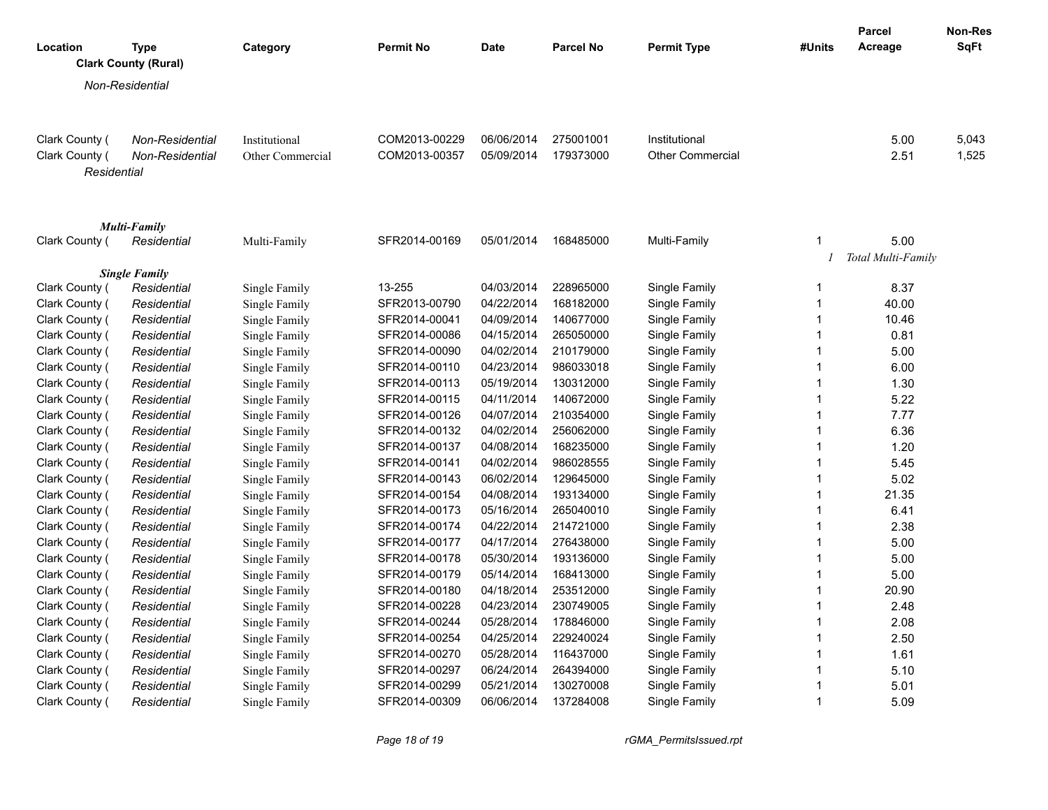| Location       | <b>Type</b>                           | Category                | <b>Permit No</b> | <b>Date</b> | <b>Parcel No</b> | <b>Permit Type</b>      | #Units         | <b>Parcel</b><br>Acreage   | Non-Res<br><b>SqFt</b> |
|----------------|---------------------------------------|-------------------------|------------------|-------------|------------------|-------------------------|----------------|----------------------------|------------------------|
|                | <b>Clark County (Rural)</b>           |                         |                  |             |                  |                         |                |                            |                        |
|                | Non-Residential                       |                         |                  |             |                  |                         |                |                            |                        |
| Clark County ( | Non-Residential                       | Institutional           | COM2013-00229    | 06/06/2014  | 275001001        | Institutional           |                | 5.00                       | 5,043                  |
| Clark County ( | <b>Non-Residential</b><br>Residential | <b>Other Commercial</b> | COM2013-00357    | 05/09/2014  | 179373000        | <b>Other Commercial</b> |                | 2.51                       | 1,525                  |
|                | <b>Multi-Family</b>                   |                         |                  |             |                  |                         |                |                            |                        |
| Clark County ( | Residential                           | Multi-Family            | SFR2014-00169    | 05/01/2014  | 168485000        | Multi-Family            | $\mathbf{1}$   | 5.00<br>Total Multi-Family |                        |
|                | <b>Single Family</b>                  |                         |                  |             |                  |                         |                |                            |                        |
| Clark County ( | Residential                           | Single Family           | 13-255           | 04/03/2014  | 228965000        | Single Family           | $\mathbf 1$    | 8.37                       |                        |
| Clark County ( | Residential                           | Single Family           | SFR2013-00790    | 04/22/2014  | 168182000        | Single Family           | $\mathbf 1$    | 40.00                      |                        |
| Clark County ( | Residential                           | Single Family           | SFR2014-00041    | 04/09/2014  | 140677000        | Single Family           | $\mathbf{1}$   | 10.46                      |                        |
| Clark County ( | Residential                           | Single Family           | SFR2014-00086    | 04/15/2014  | 265050000        | Single Family           | $\mathbf{1}$   | 0.81                       |                        |
| Clark County ( | Residential                           | Single Family           | SFR2014-00090    | 04/02/2014  | 210179000        | Single Family           | $\mathbf{1}$   | 5.00                       |                        |
| Clark County ( | Residential                           | Single Family           | SFR2014-00110    | 04/23/2014  | 986033018        | Single Family           | $\mathbf 1$    | 6.00                       |                        |
| Clark County ( | Residential                           | Single Family           | SFR2014-00113    | 05/19/2014  | 130312000        | Single Family           | $\mathbf{1}$   | 1.30                       |                        |
| Clark County ( | Residential                           | Single Family           | SFR2014-00115    | 04/11/2014  | 140672000        | Single Family           | $\mathbf{1}$   | 5.22                       |                        |
| Clark County ( | Residential                           | Single Family           | SFR2014-00126    | 04/07/2014  | 210354000        | Single Family           | $\mathbf{1}$   | 7.77                       |                        |
| Clark County ( | Residential                           | Single Family           | SFR2014-00132    | 04/02/2014  | 256062000        | Single Family           | $\mathbf{1}$   | 6.36                       |                        |
| Clark County ( | Residential                           | Single Family           | SFR2014-00137    | 04/08/2014  | 168235000        | Single Family           | $\mathbf{1}$   | 1.20                       |                        |
| Clark County ( | Residential                           | Single Family           | SFR2014-00141    | 04/02/2014  | 986028555        | Single Family           | $\mathbf{1}$   | 5.45                       |                        |
| Clark County ( | Residential                           | Single Family           | SFR2014-00143    | 06/02/2014  | 129645000        | Single Family           | $\mathbf 1$    | 5.02                       |                        |
| Clark County ( | Residential                           | Single Family           | SFR2014-00154    | 04/08/2014  | 193134000        | Single Family           | $\mathbf{1}$   | 21.35                      |                        |
| Clark County ( | Residential                           | Single Family           | SFR2014-00173    | 05/16/2014  | 265040010        | Single Family           | $\mathbf{1}$   | 6.41                       |                        |
| Clark County ( | Residential                           | Single Family           | SFR2014-00174    | 04/22/2014  | 214721000        | Single Family           | $\mathbf{1}$   | 2.38                       |                        |
| Clark County ( | Residential                           | Single Family           | SFR2014-00177    | 04/17/2014  | 276438000        | Single Family           | $\mathbf{1}$   | 5.00                       |                        |
| Clark County ( | Residential                           | Single Family           | SFR2014-00178    | 05/30/2014  | 193136000        | Single Family           | $\mathbf{1}$   | 5.00                       |                        |
| Clark County ( | Residential                           | Single Family           | SFR2014-00179    | 05/14/2014  | 168413000        | Single Family           | $\mathbf{1}$   | 5.00                       |                        |
| Clark County ( | Residential                           | Single Family           | SFR2014-00180    | 04/18/2014  | 253512000        | Single Family           | $\mathbf{1}$   | 20.90                      |                        |
| Clark County ( | Residential                           | Single Family           | SFR2014-00228    | 04/23/2014  | 230749005        | Single Family           | $\mathbf{1}$   | 2.48                       |                        |
| Clark County ( | Residential                           | Single Family           | SFR2014-00244    | 05/28/2014  | 178846000        | Single Family           | $\mathbf{1}$   | 2.08                       |                        |
| Clark County ( | Residential                           | Single Family           | SFR2014-00254    | 04/25/2014  | 229240024        | Single Family           | $\mathbf{1}$   | 2.50                       |                        |
| Clark County ( | Residential                           | Single Family           | SFR2014-00270    | 05/28/2014  | 116437000        | Single Family           | $\mathbf{1}$   | 1.61                       |                        |
| Clark County ( | Residential                           | Single Family           | SFR2014-00297    | 06/24/2014  | 264394000        | Single Family           | $\mathbf{1}$   | 5.10                       |                        |
| Clark County ( | Residential                           | Single Family           | SFR2014-00299    | 05/21/2014  | 130270008        | Single Family           | $\overline{1}$ | 5.01                       |                        |
| Clark County ( | Residential                           | Single Family           | SFR2014-00309    | 06/06/2014  | 137284008        | Single Family           | $\mathbf{1}$   | 5.09                       |                        |